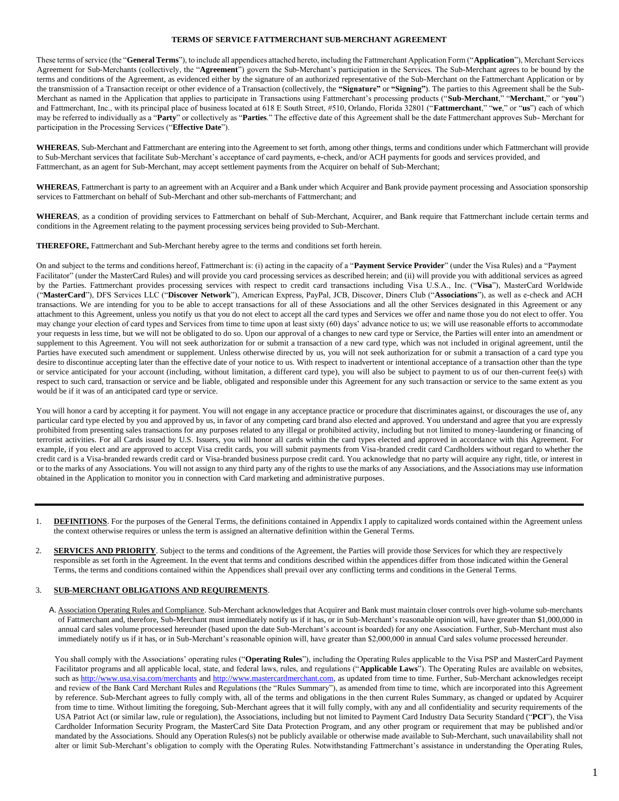#### **TERMS OF SERVICE FATTMERCHANT SUB-MERCHANT AGREEMENT**

These terms of service (the "**General Terms**"), to include all appendices attached hereto, including the Fattmerchant Application Form ("**Application**"), Merchant Services Agreement for Sub-Merchants (collectively, the "**Agreement**") govern the Sub-Merchant's participation in the Services. The Sub-Merchant agrees to be bound by the terms and conditions of the Agreement, as evidenced either by the signature of an authorized representative of the Sub-Merchant on the Fattmerchant Application or by the transmission of a Transaction receipt or other evidence of a Transaction (collectively, the **"Signature"** or **"Signing"**). The parties to this Agreement shall be the Sub-Merchant as named in the Application that applies to participate in Transactions using Fattmerchant's processing products ("**Sub-Merchant**," "**Merchant**," or "**you**") and Fattmerchant, Inc., with its principal place of business located at 618 E South Street, #510, Orlando, Florida 32801 ("**Fattmerchant**," "**we**," or "**us**") each of which may be referred to individually as a "**Party**" or collectively as "**Parties**." The effective date of this Agreement shall be the date Fattmerchant approves Sub- Merchant for participation in the Processing Services ("**Effective Date**").

**WHEREAS**, Sub-Merchant and Fattmerchant are entering into the Agreement to set forth, among other things, terms and conditions under which Fattmerchant will provide to Sub-Merchant services that facilitate Sub-Merchant's acceptance of card payments, e-check, and/or ACH payments for goods and services provided, and Fattmerchant, as an agent for Sub-Merchant, may accept settlement payments from the Acquirer on behalf of Sub-Merchant;

**WHEREAS**, Fattmerchant is party to an agreement with an Acquirer and a Bank under which Acquirer and Bank provide payment processing and Association sponsorship services to Fattmerchant on behalf of Sub-Merchant and other sub-merchants of Fattmerchant; and

**WHEREAS**, as a condition of providing services to Fattmerchant on behalf of Sub-Merchant, Acquirer, and Bank require that Fattmerchant include certain terms and conditions in the Agreement relating to the payment processing services being provided to Sub-Merchant.

**THEREFORE,** Fattmerchant and Sub-Merchant hereby agree to the terms and conditions set forth herein.

On and subject to the terms and conditions hereof, Fattmerchant is: (i) acting in the capacity of a "**Payment Service Provider**" (under the Visa Rules) and a "Payment Facilitator" (under the MasterCard Rules) and will provide you card processing services as described herein; and (ii) will provide you with additional services as agreed by the Parties. Fattmerchant provides processing services with respect to credit card transactions including Visa U.S.A., Inc. ("**Visa**"), MasterCard Worldwide ("**MasterCard**"), DFS Services LLC ("**Discover Network**"), American Express, PayPal, JCB, Discover, Diners Club ("**Associations**"), as well as e-check and ACH transactions. We are intending for you to be able to accept transactions for all of these Associations and all the other Services designated in this Agreement or any attachment to this Agreement, unless you notify us that you do not elect to accept all the card types and Services we offer and name those you do not elect to offer. You may change your election of card types and Services from time to time upon at least sixty (60) days' advance notice to us; we will use reasonable efforts to accommodate your requests in less time, but we will not be obligated to do so. Upon our approval of a changes to new card type or Service, the Parties will enter into an amendment or supplement to this Agreement. You will not seek authorization for or submit a transaction of a new card type, which was not included in original agreement, until the Parties have executed such amendment or supplement. Unless otherwise directed by us, you will not seek authorization for or submit a transaction of a card type you desire to discontinue accepting later than the effective date of your notice to us. With respect to inadvertent or intentional acceptance of a transaction other than the type or service anticipated for your account (including, without limitation, a different card type), you will also be subject to payment to us of our then-current fee(s) with respect to such card, transaction or service and be liable, obligated and responsible under this Agreement for any such transaction or service to the same extent as you would be if it was of an anticipated card type or service.

You will honor a card by accepting it for payment. You will not engage in any acceptance practice or procedure that discriminates against, or discourages the use of, any particular card type elected by you and approved by us, in favor of any competing card brand also elected and approved. You understand and agree that you are expressly prohibited from presenting sales transactions for any purposes related to any illegal or prohibited activity, including but not limited to money-laundering or financing of terrorist activities. For all Cards issued by U.S. Issuers, you will honor all cards within the card types elected and approved in accordance with this Agreement. For example, if you elect and are approved to accept Visa credit cards, you will submit payments from Visa-branded credit card Cardholders without regard to whether the credit card is a Visa-branded rewards credit card or Visa-branded business purpose credit card. You acknowledge that no party will acquire any right, title, or interest in or to the marks of any Associations. You will not assign to any third party any of the rights to use the marks of any Associations, and the Associations may use information obtained in the Application to monitor you in connection with Card marketing and administrative purposes.

- **DEFINITIONS**. For the purposes of the General Terms, the definitions contained in Appendix I apply to capitalized words contained within the Agreement unless the context otherwise requires or unless the term is assigned an alternative definition within the General Terms.
- 2. **SERVICES AND PRIORITY**. Subject to the terms and conditions of the Agreement, the Parties will provide those Services for which they are respectively responsible as set forth in the Agreement. In the event that terms and conditions described within the appendices differ from those indicated within the General Terms, the terms and conditions contained within the Appendices shall prevail over any conflicting terms and conditions in the General Terms.

## 3. **SUB-MERCHANT OBLIGATIONS AND REQUIREMENTS**.

A. Association Operating Rules and Compliance. Sub-Merchant acknowledges that Acquirer and Bank must maintain closer controls over high-volume sub-merchants of Fattmerchant and, therefore, Sub-Merchant must immediately notify us if it has, or in Sub-Merchant's reasonable opinion will, have greater than \$1,000,000 in annual card sales volume processed hereunder (based upon the date Sub-Merchant's account is boarded) for any one Association. Further, Sub-Merchant must also immediately notify us if it has, or in Sub-Merchant's reasonable opinion will, have greater than \$2,000,000 in annual Card sales volume processed hereunder.

You shall comply with the Associations' operating rules ("Operating Rules"), including the Operating Rules applicable to the Visa PSP and MasterCard Payment Facilitator programs and all applicable local, state, and federal laws, rules, and regulations ("**Applicable Laws**"). The Operating Rules are available on websites, such as<http://www.usa.visa.com/merchants> [an](http://www.usa.visa.com/merchants)d [http://www.mastercardmerchant.com, as](http://www.mastercardmerchant.com/) updated from time to time. Further, Sub-Merchant acknowledges receipt and review of the Bank Card Merchant Rules and Regulations (the "Rules Summary"), as amended from time to time, which are incorporated into this Agreement by reference. Sub-Merchant agrees to fully comply with, all of the terms and obligations in the then current Rules Summary, as changed or updated by Acquirer from time to time. Without limiting the foregoing, Sub-Merchant agrees that it will fully comply, with any and all confidentiality and security requirements of the USA Patriot Act (or similar law, rule or regulation), the Associations, including but not limited to Payment Card Industry Data Security Standard ("**PCI**"), the Visa Cardholder Information Security Program, the MasterCard Site Data Protection Program, and any other program or requirement that may be published and/or mandated by the Associations. Should any Operation Rules(s) not be publicly available or otherwise made available to Sub-Merchant, such unavailability shall not alter or limit Sub-Merchant's obligation to comply with the Operating Rules. Notwithstanding Fattmerchant's assistance in understanding the Operating Rules,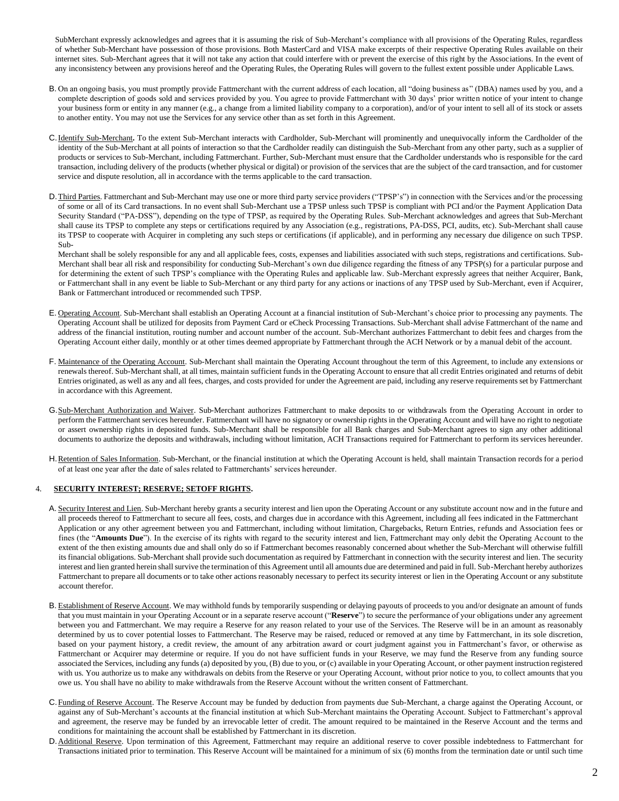SubMerchant expressly acknowledges and agrees that it is assuming the risk of Sub-Merchant's compliance with all provisions of the Operating Rules, regardless of whether Sub-Merchant have possession of those provisions. Both MasterCard and VISA make excerpts of their respective Operating Rules available on their internet sites. Sub-Merchant agrees that it will not take any action that could interfere with or prevent the exercise of this right by the Associations. In the event of any inconsistency between any provisions hereof and the Operating Rules, the Operating Rules will govern to the fullest extent possible under Applicable Laws.

- B. On an ongoing basis, you must promptly provide Fattmerchant with the current address of each location, all "doing business as" (DBA) names used by you, and a complete description of goods sold and services provided by you. You agree to provide Fattmerchant with 30 days' prior written notice of your intent to change your business form or entity in any manner (e.g., a change from a limited liability company to a corporation), and/or of your intent to sell all of its stock or assets to another entity. You may not use the Services for any service other than as set forth in this Agreement.
- C.Identify Sub-Merchant**.** To the extent Sub-Merchant interacts with Cardholder, Sub-Merchant will prominently and unequivocally inform the Cardholder of the identity of the Sub-Merchant at all points of interaction so that the Cardholder readily can distinguish the Sub-Merchant from any other party, such as a supplier of products or services to Sub-Merchant, including Fattmerchant. Further, Sub-Merchant must ensure that the Cardholder understands who is responsible for the card transaction, including delivery of the products (whether physical or digital) or provision of the services that are the subject of the card transaction, and for customer service and dispute resolution, all in accordance with the terms applicable to the card transaction.
- D. Third Parties. Fattmerchant and Sub-Merchant may use one or more third party service providers ("TPSP's") in connection with the Services and/or the processing of some or all of its Card transactions. In no event shall Sub-Merchant use a TPSP unless such TPSP is compliant with PCI and/or the Payment Application Data Security Standard ("PA-DSS"), depending on the type of TPSP, as required by the Operating Rules. Sub-Merchant acknowledges and agrees that Sub-Merchant shall cause its TPSP to complete any steps or certifications required by any Association (e.g., registrations, PA-DSS, PCI, audits, etc). Sub-Merchant shall cause its TPSP to cooperate with Acquirer in completing any such steps or certifications (if applicable), and in performing any necessary due diligence on such TPSP. Sub-

Merchant shall be solely responsible for any and all applicable fees, costs, expenses and liabilities associated with such steps, registrations and certifications. Sub-Merchant shall bear all risk and responsibility for conducting Sub-Merchant's own due diligence regarding the fitness of any TPSP(s) for a particular purpose and for determining the extent of such TPSP's compliance with the Operating Rules and applicable law. Sub-Merchant expressly agrees that neither Acquirer, Bank, or Fattmerchant shall in any event be liable to Sub-Merchant or any third party for any actions or inactions of any TPSP used by Sub-Merchant, even if Acquirer, Bank or Fattmerchant introduced or recommended such TPSP.

- E. Operating Account. Sub-Merchant shall establish an Operating Account at a financial institution of Sub-Merchant's choice prior to processing any payments. The Operating Account shall be utilized for deposits from Payment Card or eCheck Processing Transactions. Sub-Merchant shall advise Fattmerchant of the name and address of the financial institution, routing number and account number of the account. Sub-Merchant authorizes Fattmerchant to debit fees and charges from the Operating Account either daily, monthly or at other times deemed appropriate by Fattmerchant through the ACH Network or by a manual debit of the account.
- F. Maintenance of the Operating Account. Sub-Merchant shall maintain the Operating Account throughout the term of this Agreement, to include any extensions or renewals thereof. Sub-Merchant shall, at all times, maintain sufficient funds in the Operating Account to ensure that all credit Entries originated and returns of debit Entries originated, as well as any and all fees, charges, and costs provided for under the Agreement are paid, including any reserve requirements set by Fattmerchant in accordance with this Agreement.
- G.Sub-Merchant Authorization and Waiver. Sub-Merchant authorizes Fattmerchant to make deposits to or withdrawals from the Operating Account in order to perform the Fattmerchant services hereunder. Fattmerchant will have no signatory or ownership rights in the Operating Account and will have no right to negotiate or assert ownership rights in deposited funds. Sub-Merchant shall be responsible for all Bank charges and Sub-Merchant agrees to sign any other additional documents to authorize the deposits and withdrawals, including without limitation, ACH Transactions required for Fattmerchant to perform its services hereunder.
- H. Retention of Sales Information. Sub-Merchant, or the financial institution at which the Operating Account is held, shall maintain Transaction records for a period of at least one year after the date of sales related to Fattmerchants' services hereunder.

## 4. **SECURITY INTEREST; RESERVE; SETOFF RIGHTS.**

- A. Security Interest and Lien. Sub-Merchant hereby grants a security interest and lien upon the Operating Account or any substitute account now and in the future and all proceeds thereof to Fattmerchant to secure all fees, costs, and charges due in accordance with this Agreement, including all fees indicated in the Fattmerchant Application or any other agreement between you and Fattmerchant, including without limitation, Chargebacks, Return Entries, refunds and Association fees or fines (the "Amounts Due"). In the exercise of its rights with regard to the security interest and lien, Fattmerchant may only debit the Operating Account to the extent of the then existing amounts due and shall only do so if Fattmerchant becomes reasonably concerned about whether the Sub-Merchant will otherwise fulfill its financial obligations. Sub-Merchant shall provide such documentation as required by Fattmerchant in connection with the security interest and lien. The security interest and lien granted herein shall survive the termination of this Agreement until all amounts due are determined and paid in full. Sub-Merchant hereby authorizes Fattmerchant to prepare all documents or to take other actions reasonably necessary to perfect its security interest or lien in the Operating Account or any substitute account therefor.
- B. Establishment of Reserve Account. We may withhold funds by temporarily suspending or delaying payouts of proceeds to you and/or designate an amount of funds that you must maintain in your Operating Account or in a separate reserve account ("**Reserve**") to secure the performance of your obligations under any agreement between you and Fattmerchant. We may require a Reserve for any reason related to your use of the Services. The Reserve will be in an amount as reasonably determined by us to cover potential losses to Fattmerchant. The Reserve may be raised, reduced or removed at any time by Fattmerchant, in its sole discretion, based on your payment history, a credit review, the amount of any arbitration award or court judgment against you in Fattmerchant's favor, or otherwise as Fattmerchant or Acquirer may determine or require. If you do not have sufficient funds in your Reserve, we may fund the Reserve from any funding source associated the Services, including any funds (a) deposited by you, (B) due to you, or (c) available in your Operating Account, or other payment instruction registered with us. You authorize us to make any withdrawals on debits from the Reserve or your Operating Account, without prior notice to you, to collect amounts that you owe us. You shall have no ability to make withdrawals from the Reserve Account without the written consent of Fattmerchant.
- C.Funding of Reserve Account. The Reserve Account may be funded by deduction from payments due Sub-Merchant, a charge against the Operating Account, or against any of Sub-Merchant's accounts at the financial institution at which Sub-Merchant maintains the Operating Account. Subject to Fattmerchant's approval and agreement, the reserve may be funded by an irrevocable letter of credit. The amount required to be maintained in the Reserve Account and the terms and conditions for maintaining the account shall be established by Fattmerchant in its discretion.
- D.Additional Reserve. Upon termination of this Agreement, Fattmerchant may require an additional reserve to cover possible indebtedness to Fattmerchant for Transactions initiated prior to termination. This Reserve Account will be maintained for a minimum of six (6) months from the termination date or until such time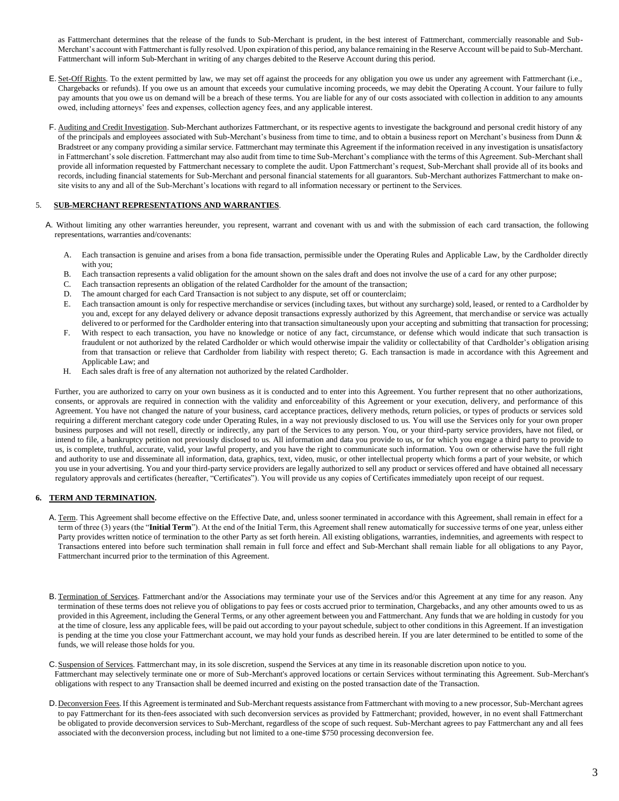as Fattmerchant determines that the release of the funds to Sub-Merchant is prudent, in the best interest of Fattmerchant, commercially reasonable and Sub-Merchant's account with Fattmerchant is fully resolved. Upon expiration of this period, any balance remaining in the Reserve Account will be paid to Sub-Merchant. Fattmerchant will inform Sub-Merchant in writing of any charges debited to the Reserve Account during this period.

- E. Set-Off Rights. To the extent permitted by law, we may set off against the proceeds for any obligation you owe us under any agreement with Fattmerchant (i.e., Chargebacks or refunds). If you owe us an amount that exceeds your cumulative incoming proceeds, we may debit the Operating Account. Your failure to fully pay amounts that you owe us on demand will be a breach of these terms. You are liable for any of our costs associated with collection in addition to any amounts owed, including attorneys' fees and expenses, collection agency fees, and any applicable interest.
- F. Auditing and Credit Investigation. Sub-Merchant authorizes Fattmerchant, or its respective agents to investigate the background and personal credit history of any of the principals and employees associated with Sub-Merchant's business from time to time, and to obtain a business report on Merchant's business from Dunn & Bradstreet or any company providing a similar service. Fattmerchant may terminate this Agreement if the information received in any investigation is unsatisfactory in Fattmerchant's sole discretion. Fattmerchant may also audit from time to time Sub-Merchant's compliance with the terms of this Agreement. Sub-Merchant shall provide all information requested by Fattmerchant necessary to complete the audit. Upon Fattmerchant's request, Sub-Merchant shall provide all of its books and records, including financial statements for Sub-Merchant and personal financial statements for all guarantors. Sub-Merchant authorizes Fattmerchant to make onsite visits to any and all of the Sub-Merchant's locations with regard to all information necessary or pertinent to the Services.

## 5. **SUB-MERCHANT REPRESENTATIONS AND WARRANTIES**.

- A. Without limiting any other warranties hereunder, you represent, warrant and covenant with us and with the submission of each card transaction, the following representations, warranties and/covenants:
	- A. Each transaction is genuine and arises from a bona fide transaction, permissible under the Operating Rules and Applicable Law, by the Cardholder directly with you;
	- B. Each transaction represents a valid obligation for the amount shown on the sales draft and does not involve the use of a card for any other purpose;<br>C. Each transaction represents an obligation of the related Cardholder
	- Each transaction represents an obligation of the related Cardholder for the amount of the transaction;
	- D. The amount charged for each Card Transaction is not subject to any dispute, set off or counterclaim;<br>E. Each transaction amount is only for respective merchandise or services (including taxes, but without a
	- E. Each transaction amount is only for respective merchandise or services (including taxes, but without any surcharge) sold, leased, or rented to a Cardholder by you and, except for any delayed delivery or advance deposit transactions expressly authorized by this Agreement, that merchandise or service was actually delivered to or performed for the Cardholder entering into that transaction simultaneously upon your accepting and submitting that transaction for processing;
	- F. With respect to each transaction, you have no knowledge or notice of any fact, circumstance, or defense which would indicate that such transaction is fraudulent or not authorized by the related Cardholder or which would otherwise impair the validity or collectability of that Cardholder's obligation arising from that transaction or relieve that Cardholder from liability with respect thereto; G. Each transaction is made in accordance with this Agreement and Applicable Law; and
	- H. Each sales draft is free of any alternation not authorized by the related Cardholder.

Further, you are authorized to carry on your own business as it is conducted and to enter into this Agreement. You further represent that no other authorizations, consents, or approvals are required in connection with the validity and enforceability of this Agreement or your execution, delivery, and performance of this Agreement. You have not changed the nature of your business, card acceptance practices, delivery methods, return policies, or types of products or services sold requiring a different merchant category code under Operating Rules, in a way not previously disclosed to us. You will use the Services only for your own proper business purposes and will not resell, directly or indirectly, any part of the Services to any person. You, or your third-party service providers, have not filed, or intend to file, a bankruptcy petition not previously disclosed to us. All information and data you provide to us, or for which you engage a third party to provide to us, is complete, truthful, accurate, valid, your lawful property, and you have the right to communicate such information. You own or otherwise have the full right and authority to use and disseminate all information, data, graphics, text, video, music, or other intellectual property which forms a part of your website, or which you use in your advertising. You and your third-party service providers are legally authorized to sell any product or services offered and have obtained all necessary regulatory approvals and certificates (hereafter, "Certificates"). You will provide us any copies of Certificates immediately upon receipt of our request.

## **6. TERM AND TERMINATION.**

- A. Term. This Agreement shall become effective on the Effective Date, and, unless sooner terminated in accordance with this Agreement, shall remain in effect for a term of three (3) years (the "**Initial Term**"). At the end of the Initial Term, this Agreement shall renew automatically for successive terms of one year, unless either Party provides written notice of termination to the other Party as set forth herein. All existing obligations, warranties, indemnities, and agreements with respect to Transactions entered into before such termination shall remain in full force and effect and Sub-Merchant shall remain liable for all obligations to any Payor, Fattmerchant incurred prior to the termination of this Agreement.
- B. Termination of Services. Fattmerchant and/or the Associations may terminate your use of the Services and/or this Agreement at any time for any reason. Any termination of these terms does not relieve you of obligations to pay fees or costs accrued prior to termination, Chargebacks, and any other amounts owed to us as provided in this Agreement, including the General Terms, or any other agreement between you and Fattmerchant. Any funds that we are holding in custody for you at the time of closure, less any applicable fees, will be paid out according to your payout schedule, subject to other conditions in this Agreement. If an investigation is pending at the time you close your Fattmerchant account, we may hold your funds as described herein. If you are later determined to be entitled to some of the funds, we will release those holds for you.
- C. Suspension of Services. Fattmerchant may, in its sole discretion, suspend the Services at any time in its reasonable discretion upon notice to you. Fattmerchant may selectively terminate one or more of Sub-Merchant's approved locations or certain Services without terminating this Agreement. Sub-Merchant's obligations with respect to any Transaction shall be deemed incurred and existing on the posted transaction date of the Transaction.
- D. Deconversion Fees. If this Agreement is terminated and Sub-Merchant requests assistance from Fattmerchant with moving to a new processor, Sub-Merchant agrees to pay Fattmerchant for its then-fees associated with such deconversion services as provided by Fattmerchant; provided, however, in no event shall Fattmerchant be obligated to provide deconversion services to Sub-Merchant, regardless of the scope of such request. Sub-Merchant agrees to pay Fattmerchant any and all fees associated with the deconversion process, including but not limited to a one-time \$750 processing deconversion fee.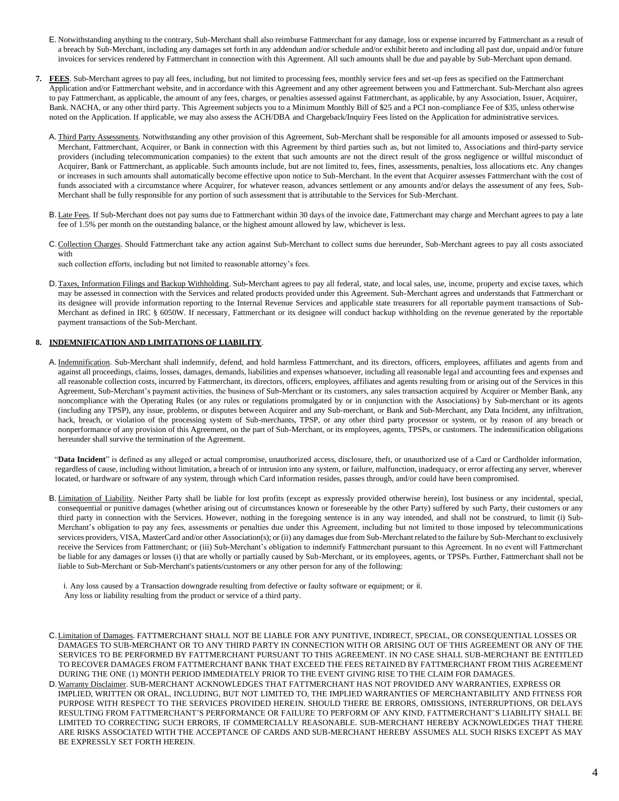- E. Notwithstanding anything to the contrary, Sub-Merchant shall also reimburse Fattmerchant for any damage, loss or expense incurred by Fattmerchant as a result of a breach by Sub-Merchant, including any damages set forth in any addendum and/or schedule and/or exhibit hereto and including all past due, unpaid and/or future invoices for services rendered by Fattmerchant in connection with this Agreement. All such amounts shall be due and payable by Sub-Merchant upon demand.
- **7. FEES**. Sub-Merchant agrees to pay all fees, including, but not limited to processing fees, monthly service fees and set-up fees as specified on the Fattmerchant Application and/or Fattmerchant website, and in accordance with this Agreement and any other agreement between you and Fattmerchant. Sub-Merchant also agrees to pay Fattmerchant, as applicable, the amount of any fees, charges, or penalties assessed against Fattmerchant, as applicable, by any Association, Issuer, Acquirer, Bank. NACHA, or any other third party. This Agreement subjects you to a Minimum Monthly Bill of \$25 and a PCI non-compliance Fee of \$35, unless otherwise noted on the Application. If applicable, we may also assess the ACH/DBA and Chargeback/Inquiry Fees listed on the Application for administrative services.
	- A. Third Party Assessments. Notwithstanding any other provision of this Agreement, Sub-Merchant shall be responsible for all amounts imposed or assessed to Sub-Merchant, Fattmerchant, Acquirer, or Bank in connection with this Agreement by third parties such as, but not limited to, Associations and third-party service providers (including telecommunication companies) to the extent that such amounts are not the direct result of the gross negligence or willful misconduct of Acquirer, Bank or Fattmerchant, as applicable. Such amounts include, but are not limited to, fees, fines, assessments, penalties, loss allocations etc. Any changes or increases in such amounts shall automatically become effective upon notice to Sub-Merchant. In the event that Acquirer assesses Fattmerchant with the cost of funds associated with a circumstance where Acquirer, for whatever reason, advances settlement or any amounts and/or delays the assessment of any fees, Sub-Merchant shall be fully responsible for any portion of such assessment that is attributable to the Services for Sub-Merchant.
	- B. Late Fees. If Sub-Merchant does not pay sums due to Fattmerchant within 30 days of the invoice date, Fattmerchant may charge and Merchant agrees to pay a late fee of 1.5% per month on the outstanding balance, or the highest amount allowed by law, whichever is less.
	- C.Collection Charges. Should Fattmerchant take any action against Sub-Merchant to collect sums due hereunder, Sub-Merchant agrees to pay all costs associated with

such collection efforts, including but not limited to reasonable attorney's fees.

D. Taxes, Information Filings and Backup Withholding. Sub-Merchant agrees to pay all federal, state, and local sales, use, income, property and excise taxes, which may be assessed in connection with the Services and related products provided under this Agreement. Sub-Merchant agrees and understands that Fattmerchant or its designee will provide information reporting to the Internal Revenue Services and applicable state treasurers for all reportable payment transactions of Sub-Merchant as defined in IRC § 6050W. If necessary, Fattmerchant or its designee will conduct backup withholding on the revenue generated by the reportable payment transactions of the Sub-Merchant.

#### **8. INDEMNIFICATION AND LIMITATIONS OF LIABILITY**.

A. Indemnification. Sub-Merchant shall indemnify, defend, and hold harmless Fattmerchant, and its directors, officers, employees, affiliates and agents from and against all proceedings, claims, losses, damages, demands, liabilities and expenses whatsoever, including all reasonable legal and accounting fees and expenses and all reasonable collection costs, incurred by Fattmerchant, its directors, officers, employees, affiliates and agents resulting from or arising out of the Services in this Agreement, Sub-Merchant's payment activities, the business of Sub-Merchant or its customers, any sales transaction acquired by Acquirer or Member Bank, any noncompliance with the Operating Rules (or any rules or regulations promulgated by or in conjunction with the Associations) by Sub-merchant or its agents (including any TPSP), any issue, problems, or disputes between Acquirer and any Sub-merchant, or Bank and Sub-Merchant, any Data Incident, any infiltration, hack, breach, or violation of the processing system of Sub-merchants, TPSP, or any other third party processor or system, or by reason of any breach or nonperformance of any provision of this Agreement, on the part of Sub-Merchant, or its employees, agents, TPSPs, or customers. The indemnification obligations hereunder shall survive the termination of the Agreement.

"**Data Incident**" is defined as any alleged or actual compromise, unauthorized access, disclosure, theft, or unauthorized use of a Card or Cardholder information, regardless of cause, including without limitation, a breach of or intrusion into any system, or failure, malfunction, inadequacy, or error affecting any server, wherever located, or hardware or software of any system, through which Card information resides, passes through, and/or could have been compromised.

B. Limitation of Liability. Neither Party shall be liable for lost profits (except as expressly provided otherwise herein), lost business or any incidental, special, consequential or punitive damages (whether arising out of circumstances known or foreseeable by the other Party) suffered by such Party, their customers or any third party in connection with the Services. However, nothing in the foregoing sentence is in any way intended, and shall not be construed, to limit (i) Sub-Merchant's obligation to pay any fees, assessments or penalties due under this Agreement, including but not limited to those imposed by telecommunications services providers, VISA, MasterCard and/or other Association(s); or (ii) any damages due from Sub-Merchant related to the failure by Sub-Merchant to exclusively receive the Services from Fattmerchant; or (iii) Sub-Merchant's obligation to indemnify Fattmerchant pursuant to this Agreement. In no event will Fattmerchant be liable for any damages or losses (i) that are wholly or partially caused by Sub-Merchant, or its employees, agents, or TPSPs. Further, Fattmerchant shall not be liable to Sub-Merchant or Sub-Merchant's patients/customers or any other person for any of the following:

i. Any loss caused by a Transaction downgrade resulting from defective or faulty software or equipment; or ii. Any loss or liability resulting from the product or service of a third party.

- C.Limitation of Damages. FATTMERCHANT SHALL NOT BE LIABLE FOR ANY PUNITIVE, INDIRECT, SPECIAL, OR CONSEQUENTIAL LOSSES OR DAMAGES TO SUB-MERCHANT OR TO ANY THIRD PARTY IN CONNECTION WITH OR ARISING OUT OF THIS AGREEMENT OR ANY OF THE SERVICES TO BE PERFORMED BY FATTMERCHANT PURSUANT TO THIS AGREEMENT. IN NO CASE SHALL SUB-MERCHANT BE ENTITLED TO RECOVER DAMAGES FROM FATTMERCHANT BANK THAT EXCEED THE FEES RETAINED BY FATTMERCHANT FROM THIS AGREEMENT DURING THE ONE (1) MONTH PERIOD IMMEDIATELY PRIOR TO THE EVENT GIVING RISE TO THE CLAIM FOR DAMAGES.
- D. Warranty Disclaimer. SUB-MERCHANT ACKNOWLEDGES THAT FATTMERCHANT HAS NOT PROVIDED ANY WARRANTIES, EXPRESS OR IMPLIED, WRITTEN OR ORAL, INCLUDING, BUT NOT LIMITED TO, THE IMPLIED WARRANTIES OF MERCHANTABILITY AND FITNESS FOR PURPOSE WITH RESPECT TO THE SERVICES PROVIDED HEREIN. SHOULD THERE BE ERRORS, OMISSIONS, INTERRUPTIONS, OR DELAYS RESULTING FROM FATTMERCHANT'S PERFORMANCE OR FAILURE TO PERFORM OF ANY KIND, FATTMERCHANT'S LIABILITY SHALL BE LIMITED TO CORRECTING SUCH ERRORS, IF COMMERCIALLY REASONABLE. SUB-MERCHANT HEREBY ACKNOWLEDGES THAT THERE ARE RISKS ASSOCIATED WITH THE ACCEPTANCE OF CARDS AND SUB-MERCHANT HEREBY ASSUMES ALL SUCH RISKS EXCEPT AS MAY BE EXPRESSLY SET FORTH HEREIN.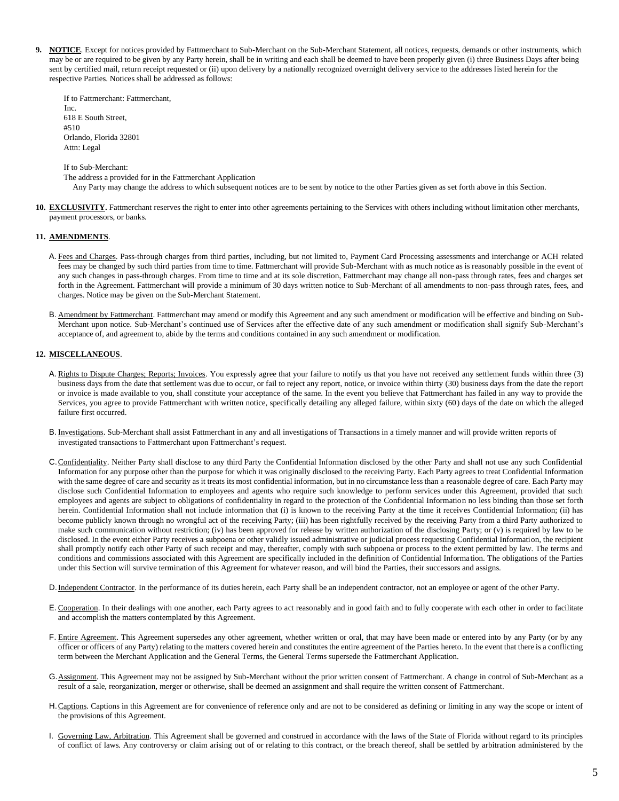**9. NOTICE**. Except for notices provided by Fattmerchant to Sub-Merchant on the Sub-Merchant Statement, all notices, requests, demands or other instruments, which may be or are required to be given by any Party herein, shall be in writing and each shall be deemed to have been properly given (i) three Business Days after being sent by certified mail, return receipt requested or (ii) upon delivery by a nationally recognized overnight delivery service to the addresses listed herein for the respective Parties. Notices shall be addressed as follows:

If to Fattmerchant: Fattmerchant, Inc. 618 E South Street, #510 Orlando, Florida 32801 Attn: Legal

If to Sub-Merchant:

The address a provided for in the Fattmerchant Application

Any Party may change the address to which subsequent notices are to be sent by notice to the other Parties given as set forth above in this Section.

**10. EXCLUSIVITY.** Fattmerchant reserves the right to enter into other agreements pertaining to the Services with others including without limitation other merchants, payment processors, or banks.

#### **11. AMENDMENTS**.

- A. Fees and Charges. Pass-through charges from third parties, including, but not limited to, Payment Card Processing assessments and interchange or ACH related fees may be changed by such third parties from time to time. Fattmerchant will provide Sub-Merchant with as much notice as is reasonably possible in the event of any such changes in pass-through charges. From time to time and at its sole discretion, Fattmerchant may change all non-pass through rates, fees and charges set forth in the Agreement. Fattmerchant will provide a minimum of 30 days written notice to Sub-Merchant of all amendments to non-pass through rates, fees, and charges. Notice may be given on the Sub-Merchant Statement.
- B. Amendment by Fattmerchant. Fattmerchant may amend or modify this Agreement and any such amendment or modification will be effective and binding on Sub-Merchant upon notice. Sub-Merchant's continued use of Services after the effective date of any such amendment or modification shall signify Sub-Merchant's acceptance of, and agreement to, abide by the terms and conditions contained in any such amendment or modification.

#### **12. MISCELLANEOUS**.

- A. Rights to Dispute Charges; Reports; Invoices. You expressly agree that your failure to notify us that you have not received any settlement funds within three (3) business days from the date that settlement was due to occur, or fail to reject any report, notice, or invoice within thirty (30) business days from the date the report or invoice is made available to you, shall constitute your acceptance of the same. In the event you believe that Fattmerchant has failed in any way to provide the Services, you agree to provide Fattmerchant with written notice, specifically detailing any alleged failure, within sixty (60) days of the date on which the alleged failure first occurred.
- B. Investigations. Sub-Merchant shall assist Fattmerchant in any and all investigations of Transactions in a timely manner and will provide written reports of investigated transactions to Fattmerchant upon Fattmerchant's request.
- C. Confidentiality. Neither Party shall disclose to any third Party the Confidential Information disclosed by the other Party and shall not use any such Confidential Information for any purpose other than the purpose for which it was originally disclosed to the receiving Party. Each Party agrees to treat Confidential Information with the same degree of care and security as it treats its most confidential information, but in no circumstance less than a reasonable degree of care. Each Party may disclose such Confidential Information to employees and agents who require such knowledge to perform services under this Agreement, provided that such employees and agents are subject to obligations of confidentiality in regard to the protection of the Confidential Information no less binding than those set forth herein. Confidential Information shall not include information that (i) is known to the receiving Party at the time it receives Confidential Information; (ii) has become publicly known through no wrongful act of the receiving Party; (iii) has been rightfully received by the receiving Party from a third Party authorized to make such communication without restriction; (iv) has been approved for release by written authorization of the disclosing Party; or (v) is required by law to be disclosed. In the event either Party receives a subpoena or other validly issued administrative or judicial process requesting Confidential Information, the recipient shall promptly notify each other Party of such receipt and may, thereafter, comply with such subpoena or process to the extent permitted by law. The terms and conditions and commissions associated with this Agreement are specifically included in the definition of Confidential Information. The obligations of the Parties under this Section will survive termination of this Agreement for whatever reason, and will bind the Parties, their successors and assigns.
- D.Independent Contractor. In the performance of its duties herein, each Party shall be an independent contractor, not an employee or agent of the other Party.
- E. Cooperation. In their dealings with one another, each Party agrees to act reasonably and in good faith and to fully cooperate with each other in order to facilitate and accomplish the matters contemplated by this Agreement.
- F. Entire Agreement. This Agreement supersedes any other agreement, whether written or oral, that may have been made or entered into by any Party (or by any officer or officers of any Party) relating to the matters covered herein and constitutes the entire agreement of the Parties hereto. In the event that there is a conflicting term between the Merchant Application and the General Terms, the General Terms supersede the Fattmerchant Application.
- G. Assignment. This Agreement may not be assigned by Sub-Merchant without the prior written consent of Fattmerchant. A change in control of Sub-Merchant as a result of a sale, reorganization, merger or otherwise, shall be deemed an assignment and shall require the written consent of Fattmerchant.
- H. Captions. Captions in this Agreement are for convenience of reference only and are not to be considered as defining or limiting in any way the scope or intent of the provisions of this Agreement.
- I. Governing Law, Arbitration. This Agreement shall be governed and construed in accordance with the laws of the State of Florida without regard to its principles of conflict of laws. Any controversy or claim arising out of or relating to this contract, or the breach thereof, shall be settled by arbitration administered by the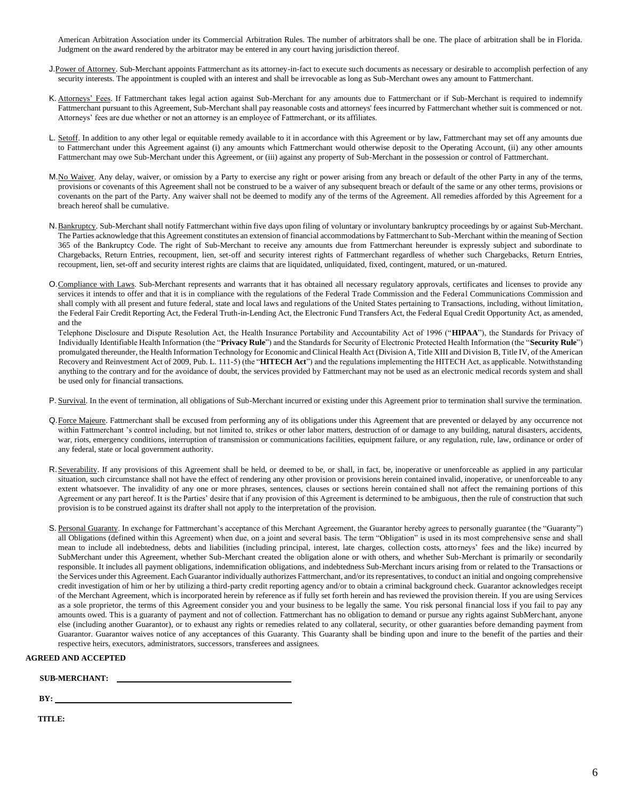American Arbitration Association under its Commercial Arbitration Rules. The number of arbitrators shall be one. The place of arbitration shall be in Florida. Judgment on the award rendered by the arbitrator may be entered in any court having jurisdiction thereof.

- J.Power of Attorney. Sub-Merchant appoints Fattmerchant as its attorney-in-fact to execute such documents as necessary or desirable to accomplish perfection of any security interests. The appointment is coupled with an interest and shall be irrevocable as long as Sub-Merchant owes any amount to Fattmerchant.
- K. Attorneys' Fees. If Fattmerchant takes legal action against Sub-Merchant for any amounts due to Fattmerchant or if Sub-Merchant is required to indemnify Fattmerchant pursuant to this Agreement, Sub-Merchant shall pay reasonable costs and attorneys' fees incurred by Fattmerchant whether suit is commenced or not. Attorneys' fees are due whether or not an attorney is an employee of Fattmerchant, or its affiliates.
- L. Setoff. In addition to any other legal or equitable remedy available to it in accordance with this Agreement or by law, Fattmerchant may set off any amounts due to Fattmerchant under this Agreement against (i) any amounts which Fattmerchant would otherwise deposit to the Operating Account, (ii) any other amounts Fattmerchant may owe Sub-Merchant under this Agreement, or (iii) against any property of Sub-Merchant in the possession or control of Fattmerchant.
- M. No Waiver. Any delay, waiver, or omission by a Party to exercise any right or power arising from any breach or default of the other Party in any of the terms, provisions or covenants of this Agreement shall not be construed to be a waiver of any subsequent breach or default of the same or any other terms, provisions or covenants on the part of the Party. Any waiver shall not be deemed to modify any of the terms of the Agreement. All remedies afforded by this Agreement for a breach hereof shall be cumulative.
- N. Bankruptcy. Sub-Merchant shall notify Fattmerchant within five days upon filing of voluntary or involuntary bankruptcy proceedings by or against Sub-Merchant. The Parties acknowledge that this Agreement constitutes an extension of financial accommodations by Fattmerchant to Sub-Merchant within the meaning of Section 365 of the Bankruptcy Code. The right of Sub-Merchant to receive any amounts due from Fattmerchant hereunder is expressly subject and subordinate to Chargebacks, Return Entries, recoupment, lien, set-off and security interest rights of Fattmerchant regardless of whether such Chargebacks, Return Entries, recoupment, lien, set-off and security interest rights are claims that are liquidated, unliquidated, fixed, contingent, matured, or un-matured.
- O.Compliance with Laws. Sub-Merchant represents and warrants that it has obtained all necessary regulatory approvals, certificates and licenses to provide any services it intends to offer and that it is in compliance with the regulations of the Federal Trade Commission and the Federal Communications Commission and shall comply with all present and future federal, state and local laws and regulations of the United States pertaining to Transactions, including, without limitation, the Federal Fair Credit Reporting Act, the Federal Truth-in-Lending Act, the Electronic Fund Transfers Act, the Federal Equal Credit Opportunity Act, as amended, and the

Telephone Disclosure and Dispute Resolution Act, the Health Insurance Portability and Accountability Act of 1996 ("**HIPAA**"), the Standards for Privacy of Individually Identifiable Health Information (the "**Privacy Rule**") and the Standards for Security of Electronic Protected Health Information (the "**Security Rule**") promulgated thereunder, the Health Information Technology for Economic and Clinical Health Act (Division A, Title XIII and Division B, Title IV, of the American Recovery and Reinvestment Act of 2009, Pub. L. 111-5) (the "**HITECH Act**") and the regulations implementing the HITECH Act, as applicable. Notwithstanding anything to the contrary and for the avoidance of doubt, the services provided by Fattmerchant may not be used as an electronic medical records system and shall be used only for financial transactions.

- P. Survival. In the event of termination, all obligations of Sub-Merchant incurred or existing under this Agreement prior to termination shall survive the termination.
- Q. Force Majeure. Fattmerchant shall be excused from performing any of its obligations under this Agreement that are prevented or delayed by any occurrence not within Fattmerchant 's control including, but not limited to, strikes or other labor matters, destruction of or damage to any building, natural disasters, accidents, war, riots, emergency conditions, interruption of transmission or communications facilities, equipment failure, or any regulation, rule, law, ordinance or order of any federal, state or local government authority.
- R. Severability. If any provisions of this Agreement shall be held, or deemed to be, or shall, in fact, be, inoperative or unenforceable as applied in any particular situation, such circumstance shall not have the effect of rendering any other provision or provisions herein contained invalid, inoperative, or unenforceable to any extent whatsoever. The invalidity of any one or more phrases, sentences, clauses or sections herein contained shall not affect the remaining portions of this Agreement or any part hereof. It is the Parties' desire that if any provision of this Agreement is determined to be ambiguous, then the rule of construction that such provision is to be construed against its drafter shall not apply to the interpretation of the provision.
- S. Personal Guaranty. In exchange for Fattmerchant's acceptance of this Merchant Agreement, the Guarantor hereby agrees to personally guarantee (the "Guaranty") all Obligations (defined within this Agreement) when due, on a joint and several basis. The term "Obligation" is used in its most comprehensive sense and shall mean to include all indebtedness, debts and liabilities (including principal, interest, late charges, collection costs, attorneys' fees and the like) incurred by SubMerchant under this Agreement, whether Sub-Merchant created the obligation alone or with others, and whether Sub-Merchant is primarily or secondarily responsible. It includes all payment obligations, indemnification obligations, and indebtedness Sub-Merchant incurs arising from or related to the Transactions or the Services under this Agreement. Each Guarantor individually authorizes Fattmerchant, and/or its representatives, to conduct an initial and ongoing comprehensive credit investigation of him or her by utilizing a third-party credit reporting agency and/or to obtain a criminal background check. Guarantor acknowledges receipt of the Merchant Agreement, which is incorporated herein by reference as if fully set forth herein and has reviewed the provision therein. If you are using Services as a sole proprietor, the terms of this Agreement consider you and your business to be legally the same. You risk personal financial loss if you fail to pay any amounts owed. This is a guaranty of payment and not of collection. Fattmerchant has no obligation to demand or pursue any rights against SubMerchant, anyone else (including another Guarantor), or to exhaust any rights or remedies related to any collateral, security, or other guaranties before demanding payment from Guarantor. Guarantor waives notice of any acceptances of this Guaranty. This Guaranty shall be binding upon and inure to the benefit of the parties and their respective heirs, executors, administrators, successors, transferees and assignees.

## **AGREED AND ACCEPTED**

 **SUB-MERCHANT:** 

**BY:** 

**TITLE:**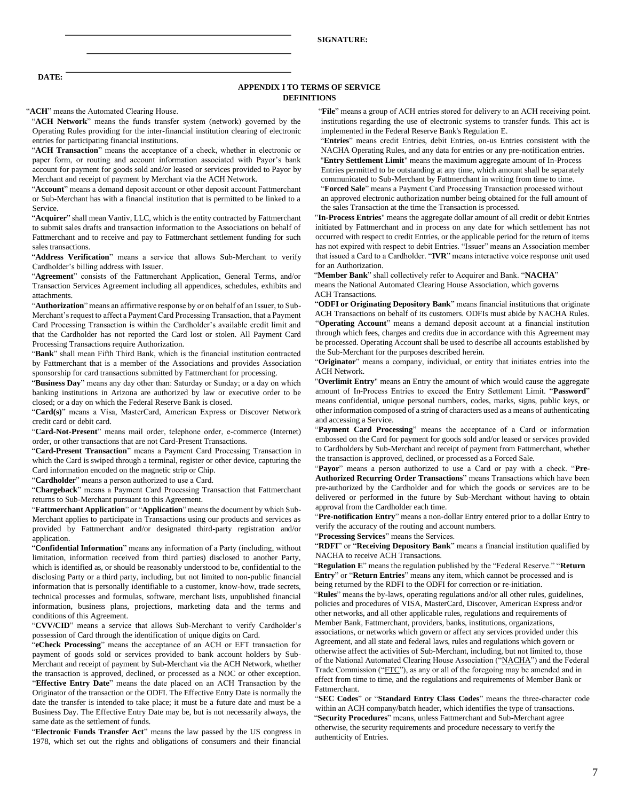**DATE:** 

#### **APPENDIX I TO TERMS OF SERVICE DEFINITIONS**

"**ACH Network**" means the funds transfer system (network) governed by the Operating Rules providing for the inter-financial institution clearing of electronic entries for participating financial institutions.

"**ACH Transaction**" means the acceptance of a check, whether in electronic or paper form, or routing and account information associated with Payor's bank account for payment for goods sold and/or leased or services provided to Payor by Merchant and receipt of payment by Merchant via the ACH Network.

"**Account**" means a demand deposit account or other deposit account Fattmerchant or Sub-Merchant has with a financial institution that is permitted to be linked to a Service.

"**Acquirer**" shall mean Vantiv, LLC, which is the entity contracted by Fattmerchant to submit sales drafts and transaction information to the Associations on behalf of Fattmerchant and to receive and pay to Fattmerchant settlement funding for such sales transactions.

"**Address Verification**" means a service that allows Sub-Merchant to verify Cardholder's billing address with Issuer.

"**Agreement**" consists of the Fattmerchant Application, General Terms, and/or Transaction Services Agreement including all appendices, schedules, exhibits and attachments.

"**Authorization**" means an affirmative response by or on behalf of an Issuer, to Sub-Merchant's request to affect a Payment Card Processing Transaction, that a Payment Card Processing Transaction is within the Cardholder's available credit limit and that the Cardholder has not reported the Card lost or stolen. All Payment Card Processing Transactions require Authorization.

"**Bank**" shall mean Fifth Third Bank, which is the financial institution contracted by Fattmerchant that is a member of the Associations and provides Association sponsorship for card transactions submitted by Fattmerchant for processing.

"**Business Day**" means any day other than: Saturday or Sunday; or a day on which banking institutions in Arizona are authorized by law or executive order to be closed; or a day on which the Federal Reserve Bank is closed.

"**Card(s)**" means a Visa, MasterCard, American Express or Discover Network credit card or debit card.

"**Card-Not-Present**" means mail order, telephone order, e-commerce (Internet) order, or other transactions that are not Card-Present Transactions.

"**Card-Present Transaction**" means a Payment Card Processing Transaction in which the Card is swiped through a terminal, register or other device, capturing the Card information encoded on the magnetic strip or Chip.

"**Cardholder**" means a person authorized to use a Card.

"**Chargeback**" means a Payment Card Processing Transaction that Fattmerchant returns to Sub-Merchant pursuant to this Agreement.

"**Fattmerchant Application**" or "**Application**" means the document by which Sub-Merchant applies to participate in Transactions using our products and services as provided by Fattmerchant and/or designated third-party registration and/or application.

"**Confidential Information**" means any information of a Party (including, without limitation, information received from third parties) disclosed to another Party, which is identified as, or should be reasonably understood to be, confidential to the disclosing Party or a third party, including, but not limited to non-public financial information that is personally identifiable to a customer, know-how, trade secrets, technical processes and formulas, software, merchant lists, unpublished financial information, business plans, projections, marketing data and the terms and conditions of this Agreement.

"**CVV/CID**" means a service that allows Sub-Merchant to verify Cardholder's possession of Card through the identification of unique digits on Card.

"**eCheck Processing**" means the acceptance of an ACH or EFT transaction for payment of goods sold or services provided to bank account holders by Sub-Merchant and receipt of payment by Sub-Merchant via the ACH Network, whether the transaction is approved, declined, or processed as a NOC or other exception. "**Effective Entry Date**" means the date placed on an ACH Transaction by the Originator of the transaction or the ODFI. The Effective Entry Date is normally the date the transfer is intended to take place; it must be a future date and must be a Business Day. The Effective Entry Date may be, but is not necessarily always, the same date as the settlement of funds.

"**Electronic Funds Transfer Act**" means the law passed by the US congress in 1978, which set out the rights and obligations of consumers and their financial

"**ACH**" means the Automated Clearing House. "**File**" means a group of ACH entries stored for delivery to an ACH receiving point. institutions regarding the use of electronic systems to transfer funds. This act is implemented in the Federal Reserve Bank's Regulation E.

> "**Entries**" means credit Entries, debit Entries, on-us Entries consistent with the NACHA Operating Rules, and any data for entries or any pre-notification entries. "**Entry Settlement Limit**" means the maximum aggregate amount of In-Process Entries permitted to be outstanding at any time, which amount shall be separately communicated to Sub-Merchant by Fattmerchant in writing from time to time.

> "**Forced Sale**" means a Payment Card Processing Transaction processed without an approved electronic authorization number being obtained for the full amount of the sales Transaction at the time the Transaction is processed.

"**In-Process Entries**" means the aggregate dollar amount of all credit or debit Entries initiated by Fattmerchant and in process on any date for which settlement has not occurred with respect to credit Entries, or the applicable period for the return of items has not expired with respect to debit Entries. "Issuer" means an Association member that issued a Card to a Cardholder. "**IVR**" means interactive voice response unit used for an Authorization.

"**Member Bank**" shall collectively refer to Acquirer and Bank. "**NACHA**" means the National Automated Clearing House Association, which governs ACH Transactions.

"**ODFI or Originating Depository Bank**" means financial institutions that originate ACH Transactions on behalf of its customers. ODFIs must abide by NACHA Rules. "**Operating Account**" means a demand deposit account at a financial institution through which fees, charges and credits due in accordance with this Agreement may be processed. Operating Account shall be used to describe all accounts established by the Sub-Merchant for the purposes described herein.

"**Originator**" means a company, individual, or entity that initiates entries into the ACH Network.

"**Overlimit Entry**" means an Entry the amount of which would cause the aggregate amount of In-Process Entries to exceed the Entry Settlement Limit. "**Password**" means confidential, unique personal numbers, codes, marks, signs, public keys, or other information composed of a string of characters used as a means of authenticating and accessing a Service.

"**Payment Card Processing**" means the acceptance of a Card or information embossed on the Card for payment for goods sold and/or leased or services provided to Cardholders by Sub-Merchant and receipt of payment from Fattmerchant, whether the transaction is approved, declined, or processed as a Forced Sale.

"**Payor**" means a person authorized to use a Card or pay with a check. "**Pre-Authorized Recurring Order Transactions**" means Transactions which have been pre-authorized by the Cardholder and for which the goods or services are to be delivered or performed in the future by Sub-Merchant without having to obtain approval from the Cardholder each time.

"**Pre-notification Entry**" means a non-dollar Entry entered prior to a dollar Entry to verify the accuracy of the routing and account numbers.

"**Processing Services**" means the Services.

"**RDFI**" or "**Receiving Depository Bank**" means a financial institution qualified by NACHA to receive ACH Transactions.

"**Regulation E**" means the regulation published by the "Federal Reserve." "**Return Entry**" or "**Return Entries**" means any item, which cannot be processed and is being returned by the RDFI to the ODFI for correction or re-initiation.

"**Rules**" means the by-laws, operating regulations and/or all other rules, guidelines, policies and procedures of VISA, MasterCard, Discover, American Express and/or other networks, and all other applicable rules, regulations and requirements of Member Bank, Fattmerchant, providers, banks, institutions, organizations,

associations, or networks which govern or affect any services provided under this Agreement, and all state and federal laws, rules and regulations which govern or otherwise affect the activities of Sub-Merchant, including, but not limited to, those of the National Automated Clearing House Association ("NACHA") and the Federal Trade Commission ("FTC"), as any or all of the foregoing may be amended and in effect from time to time, and the regulations and requirements of Member Bank or Fattmerchant.

"**SEC Codes**" or "**Standard Entry Class Codes**" means the three-character code within an ACH company/batch header, which identifies the type of transactions. "**Security Procedures**" means, unless Fattmerchant and Sub-Merchant agree otherwise, the security requirements and procedure necessary to verify the authenticity of Entries.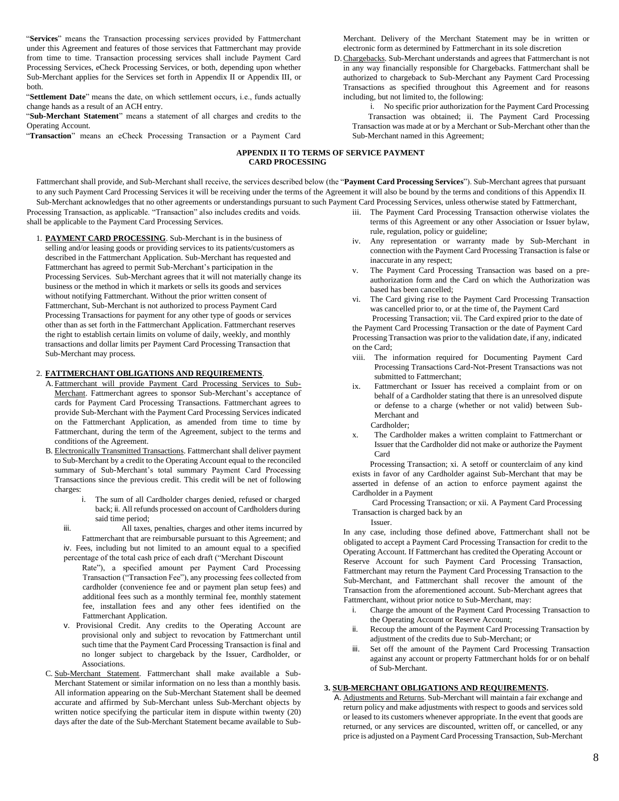"**Services**" means the Transaction processing services provided by Fattmerchant under this Agreement and features of those services that Fattmerchant may provide from time to time. Transaction processing services shall include Payment Card Processing Services, eCheck Processing Services, or both, depending upon whether Sub-Merchant applies for the Services set forth in Appendix II or Appendix III, or both.

"**Settlement Date**" means the date, on which settlement occurs, i.e., funds actually change hands as a result of an ACH entry.

"**Sub-Merchant Statement**" means a statement of all charges and credits to the Operating Account.

"**Transaction**" means an eCheck Processing Transaction or a Payment Card

Merchant. Delivery of the Merchant Statement may be in written or electronic form as determined by Fattmerchant in its sole discretion

D.Chargebacks. Sub-Merchant understands and agrees that Fattmerchant is not in any way financially responsible for Chargebacks. Fattmerchant shall be authorized to chargeback to Sub-Merchant any Payment Card Processing Transactions as specified throughout this Agreement and for reasons including, but not limited to, the following:

i. No specific prior authorization for the Payment Card Processing Transaction was obtained; ii. The Payment Card Processing Transaction was made at or by a Merchant or Sub-Merchant other than the Sub-Merchant named in this Agreement;

## **APPENDIX II TO TERMS OF SERVICE PAYMENT CARD PROCESSING**

Processing Transaction, as applicable. "Transaction" also includes credits and voids. Fattmerchant shall provide, and Sub-Merchant shall receive, the services described below (the "**Payment Card Processing Services**"). Sub-Merchant agrees that pursuant to any such Payment Card Processing Services it will be receiving under the terms of the Agreement it will also be bound by the terms and conditions of this Appendix II. Sub-Merchant acknowledges that no other agreements or understandings pursuant to such Payment Card Processing Services, unless otherwise stated by Fattmerchant,

shall be applicable to the Payment Card Processing Services.

1. **PAYMENT CARD PROCESSING**. Sub-Merchant is in the business of selling and/or leasing goods or providing services to its patients/customers as described in the Fattmerchant Application. Sub-Merchant has requested and Fattmerchant has agreed to permit Sub-Merchant's participation in the Processing Services. Sub-Merchant agrees that it will not materially change its business or the method in which it markets or sells its goods and services without notifying Fattmerchant. Without the prior written consent of Fattmerchant, Sub-Merchant is not authorized to process Payment Card Processing Transactions for payment for any other type of goods or services other than as set forth in the Fattmerchant Application. Fattmerchant reserves the right to establish certain limits on volume of daily, weekly, and monthly transactions and dollar limits per Payment Card Processing Transaction that Sub-Merchant may process.

## 2. **FATTMERCHANT OBLIGATIONS AND REQUIREMENTS**.

- A. Fattmerchant will provide Payment Card Processing Services to Sub-Merchant. Fattmerchant agrees to sponsor Sub-Merchant's acceptance of cards for Payment Card Processing Transactions. Fattmerchant agrees to provide Sub-Merchant with the Payment Card Processing Services indicated on the Fattmerchant Application, as amended from time to time by Fattmerchant, during the term of the Agreement, subject to the terms and conditions of the Agreement.
- B. Electronically Transmitted Transactions. Fattmerchant shall deliver payment to Sub-Merchant by a credit to the Operating Account equal to the reconciled summary of Sub-Merchant's total summary Payment Card Processing Transactions since the previous credit. This credit will be net of following charges:
	- The sum of all Cardholder charges denied, refused or charged back; ii. All refunds processed on account of Cardholders during said time period;
	- iii. All taxes, penalties, charges and other items incurred by Fattmerchant that are reimbursable pursuant to this Agreement; and iv. Fees, including but not limited to an amount equal to a specified percentage of the total cash price of each draft ("Merchant Discount
		- Rate"), a specified amount per Payment Card Processing Transaction ("Transaction Fee"), any processing fees collected from cardholder (convenience fee and or payment plan setup fees) and additional fees such as a monthly terminal fee, monthly statement fee, installation fees and any other fees identified on the Fattmerchant Application.
	- v. Provisional Credit. Any credits to the Operating Account are provisional only and subject to revocation by Fattmerchant until such time that the Payment Card Processing Transaction is final and no longer subject to chargeback by the Issuer, Cardholder, or Associations.
- C. Sub-Merchant Statement. Fattmerchant shall make available a Sub-Merchant Statement or similar information on no less than a monthly basis. All information appearing on the Sub-Merchant Statement shall be deemed accurate and affirmed by Sub-Merchant unless Sub-Merchant objects by written notice specifying the particular item in dispute within twenty (20) days after the date of the Sub-Merchant Statement became available to Sub-
- iii. The Payment Card Processing Transaction otherwise violates the terms of this Agreement or any other Association or Issuer bylaw, rule, regulation, policy or guideline;
- iv. Any representation or warranty made by Sub-Merchant in connection with the Payment Card Processing Transaction is false or inaccurate in any respect;
- v. The Payment Card Processing Transaction was based on a preauthorization form and the Card on which the Authorization was based has been cancelled;
- vi. The Card giving rise to the Payment Card Processing Transaction was cancelled prior to, or at the time of, the Payment Card Processing Transaction; vii. The Card expired prior to the date of

the Payment Card Processing Transaction or the date of Payment Card Processing Transaction was prior to the validation date, if any, indicated on the Card;

- viii. The information required for Documenting Payment Card Processing Transactions Card-Not-Present Transactions was not submitted to Fattmerchant;
- ix. Fattmerchant or Issuer has received a complaint from or on behalf of a Cardholder stating that there is an unresolved dispute or defense to a charge (whether or not valid) between Sub-Merchant and Cardholder;
- x. The Cardholder makes a written complaint to Fattmerchant or Issuer that the Cardholder did not make or authorize the Payment Card

Processing Transaction; xi. A setoff or counterclaim of any kind exists in favor of any Cardholder against Sub-Merchant that may be asserted in defense of an action to enforce payment against the Cardholder in a Payment

Card Processing Transaction; or xii. A Payment Card Processing Transaction is charged back by an Issuer.

In any case, including those defined above, Fattmerchant shall not be obligated to accept a Payment Card Processing Transaction for credit to the Operating Account. If Fattmerchant has credited the Operating Account or Reserve Account for such Payment Card Processing Transaction, Fattmerchant may return the Payment Card Processing Transaction to the Sub-Merchant, and Fattmerchant shall recover the amount of the Transaction from the aforementioned account. Sub-Merchant agrees that Fattmerchant, without prior notice to Sub-Merchant, may:

- i. Charge the amount of the Payment Card Processing Transaction to the Operating Account or Reserve Account;
- ii. Recoup the amount of the Payment Card Processing Transaction by adjustment of the credits due to Sub-Merchant; or
- Set off the amount of the Payment Card Processing Transaction against any account or property Fattmerchant holds for or on behalf of Sub-Merchant.

#### **3. SUB-MERCHANT OBLIGATIONS AND REQUIREMENTS.**

A. Adjustments and Returns. Sub-Merchant will maintain a fair exchange and return policy and make adjustments with respect to goods and services sold or leased to its customers whenever appropriate. In the event that goods are returned, or any services are discounted, written off, or cancelled, or any price is adjusted on a Payment Card Processing Transaction, Sub-Merchant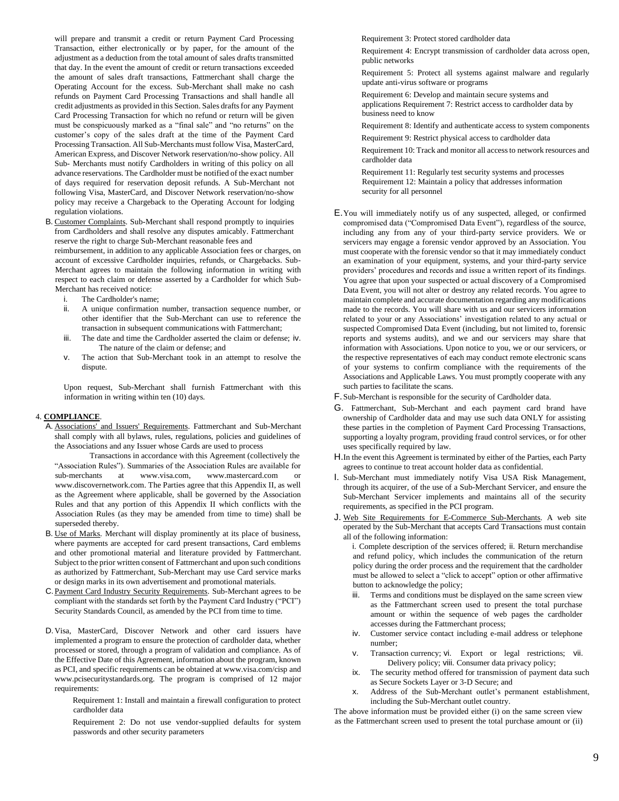will prepare and transmit a credit or return Payment Card Processing Transaction, either electronically or by paper, for the amount of the adjustment as a deduction from the total amount of sales drafts transmitted that day. In the event the amount of credit or return transactions exceeded the amount of sales draft transactions, Fattmerchant shall charge the Operating Account for the excess. Sub-Merchant shall make no cash refunds on Payment Card Processing Transactions and shall handle all credit adjustments as provided in this Section. Sales drafts for any Payment Card Processing Transaction for which no refund or return will be given must be conspicuously marked as a "final sale" and "no returns" on the customer's copy of the sales draft at the time of the Payment Card Processing Transaction. All Sub-Merchants must follow Visa, MasterCard, American Express, and Discover Network reservation/no-show policy. All Sub- Merchants must notify Cardholders in writing of this policy on all advance reservations. The Cardholder must be notified of the exact number of days required for reservation deposit refunds. A Sub-Merchant not following Visa, MasterCard, and Discover Network reservation/no-show policy may receive a Chargeback to the Operating Account for lodging regulation violations.

B. Customer Complaints. Sub-Merchant shall respond promptly to inquiries from Cardholders and shall resolve any disputes amicably. Fattmerchant reserve the right to charge Sub-Merchant reasonable fees and

reimbursement, in addition to any applicable Association fees or charges, on account of excessive Cardholder inquiries, refunds, or Chargebacks. Sub-Merchant agrees to maintain the following information in writing with respect to each claim or defense asserted by a Cardholder for which Sub-Merchant has received notice:

- i. The Cardholder's name;
- ii. A unique confirmation number, transaction sequence number, or other identifier that the Sub-Merchant can use to reference the transaction in subsequent communications with Fattmerchant;
- iii. The date and time the Cardholder asserted the claim or defense; iv. The nature of the claim or defense; and
- v. The action that Sub-Merchant took in an attempt to resolve the dispute.

Upon request, Sub-Merchant shall furnish Fattmerchant with this information in writing within ten (10) days.

#### 4. **COMPLIANCE**.

A. Associations' and Issuers' Requirements. Fattmerchant and Sub-Merchant shall comply with all bylaws, rules, regulations, policies and guidelines of the Associations and any Issuer whose Cards are used to process

Transactions in accordance with this Agreement (collectively the "Association Rules"). Summaries of the Association Rules are available for sub-merchants at [www.visa.com,](http://www.visa.com/) [www.mastercard.com](http://www.mastercard.com/) [o](http://www.mastercard.com/)[r](http://www.discovernetwork.com/) [www.discovernetwork.com. Th](http://www.discovernetwork.com/)e Parties agree that this Appendix II, as well as the Agreement where applicable, shall be governed by the Association Rules and that any portion of this Appendix II which conflicts with the Association Rules (as they may be amended from time to time) shall be superseded thereby.

- B. Use of Marks. Merchant will display prominently at its place of business, where payments are accepted for card present transactions, Card emblems and other promotional material and literature provided by Fattmerchant. Subject to the prior written consent of Fattmerchant and upon such conditions as authorized by Fattmerchant, Sub-Merchant may use Card service marks or design marks in its own advertisement and promotional materials.
- C.Payment Card Industry Security Requirements. Sub-Merchant agrees to be compliant with the standards set forth by the Payment Card Industry ("PCI") Security Standards Council, as amended by the PCI from time to time.
- D.Visa, MasterCard, Discover Network and other card issuers have implemented a program to ensure the protection of cardholder data, whether processed or stored, through a program of validation and compliance. As of the Effective Date of this Agreement, information about the program, known as PCI, and specific requirements can be obtained at [www.visa.com/cisp](http://www.visa.com/cisp) [an](http://www.visa.com/cisp)[d](http://www.pcisecuritystandards.org/) [www.pcisecuritystandards.org.](http://www.pcisecuritystandards.org/) The program is comprised of 12 major requirements:

Requirement 1: Install and maintain a firewall configuration to protect cardholder data

Requirement 2: Do not use vendor-supplied defaults for system passwords and other security parameters

Requirement 3: Protect stored cardholder data

Requirement 4: Encrypt transmission of cardholder data across open, public networks

Requirement 5: Protect all systems against malware and regularly update anti-virus software or programs

Requirement 6: Develop and maintain secure systems and applications Requirement 7: Restrict access to cardholder data by business need to know

Requirement 8: Identify and authenticate access to system components

Requirement 9: Restrict physical access to cardholder data

Requirement 10: Track and monitor all access to network resources and cardholder data

Requirement 11: Regularly test security systems and processes Requirement 12: Maintain a policy that addresses information security for all personnel

- E.You will immediately notify us of any suspected, alleged, or confirmed compromised data ("Compromised Data Event"), regardless of the source, including any from any of your third-party service providers. We or servicers may engage a forensic vendor approved by an Association. You must cooperate with the forensic vendor so that it may immediately conduct an examination of your equipment, systems, and your third-party service providers' procedures and records and issue a written report of its findings. You agree that upon your suspected or actual discovery of a Compromised Data Event, you will not alter or destroy any related records. You agree to maintain complete and accurate documentation regarding any modifications made to the records. You will share with us and our servicers information related to your or any Associations' investigation related to any actual or suspected Compromised Data Event (including, but not limited to, forensic reports and systems audits), and we and our servicers may share that information with Associations. Upon notice to you, we or our servicers, or the respective representatives of each may conduct remote electronic scans of your systems to confirm compliance with the requirements of the Associations and Applicable Laws. You must promptly cooperate with any such parties to facilitate the scans.
- F.Sub-Merchant is responsible for the security of Cardholder data.
- G. Fattmerchant, Sub-Merchant and each payment card brand have ownership of Cardholder data and may use such data ONLY for assisting these parties in the completion of Payment Card Processing Transactions, supporting a loyalty program, providing fraud control services, or for other uses specifically required by law.
- H.In the event this Agreement is terminated by either of the Parties, each Party agrees to continue to treat account holder data as confidential.
- I. Sub-Merchant must immediately notify Visa USA Risk Management, through its acquirer, of the use of a Sub-Merchant Servicer, and ensure the Sub-Merchant Servicer implements and maintains all of the security requirements, as specified in the PCI program.
- J. Web Site Requirements for E-Commerce Sub-Merchants. A web site operated by the Sub-Merchant that accepts Card Transactions must contain all of the following information:

i. Complete description of the services offered; ii. Return merchandise and refund policy, which includes the communication of the return policy during the order process and the requirement that the cardholder must be allowed to select a "click to accept" option or other affirmative button to acknowledge the policy;

- iii. Terms and conditions must be displayed on the same screen view as the Fattmerchant screen used to present the total purchase amount or within the sequence of web pages the cardholder accesses during the Fattmerchant process;
- iv. Customer service contact including e-mail address or telephone number;
- v. Transaction currency; vi. Export or legal restrictions; vii. Delivery policy; viii. Consumer data privacy policy;
- ix. The security method offered for transmission of payment data such as Secure Sockets Layer or 3-D Secure; and
- x. Address of the Sub-Merchant outlet's permanent establishment, including the Sub-Merchant outlet country.

The above information must be provided either (i) on the same screen view as the Fattmerchant screen used to present the total purchase amount or (ii)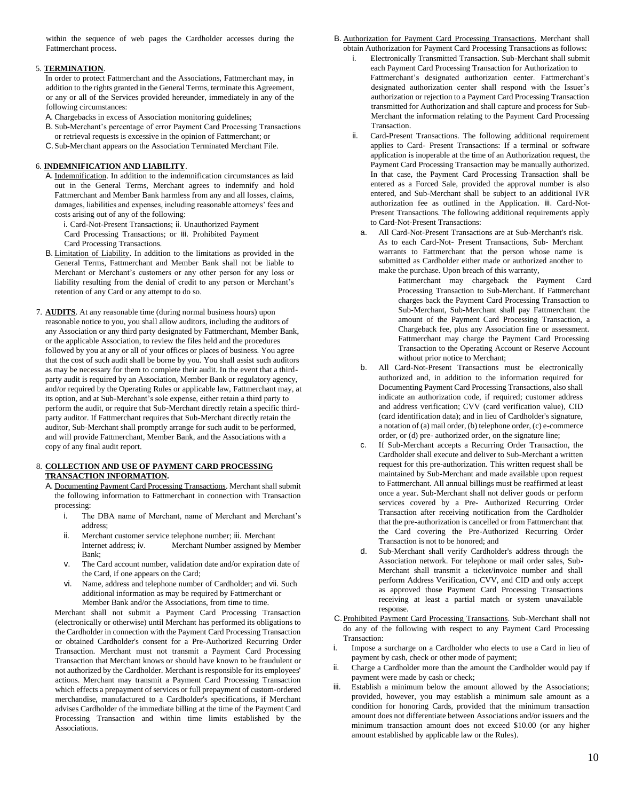within the sequence of web pages the Cardholder accesses during the Fattmerchant process.

## 5. **TERMINATION**.

In order to protect Fattmerchant and the Associations, Fattmerchant may, in addition to the rights granted in the General Terms, terminate this Agreement, or any or all of the Services provided hereunder, immediately in any of the following circumstances:

- A. Chargebacks in excess of Association monitoring guidelines;
- B. Sub-Merchant's percentage of error Payment Card Processing Transactions
- or retrieval requests is excessive in the opinion of Fattmerchant; or C.Sub-Merchant appears on the Association Terminated Merchant File.
- 

# 6. **INDEMNIFICATION AND LIABILITY**.

- A. Indemnification. In addition to the indemnification circumstances as laid out in the General Terms, Merchant agrees to indemnify and hold Fattmerchant and Member Bank harmless from any and all losses, claims, damages, liabilities and expenses, including reasonable attorneys' fees and costs arising out of any of the following:
	- i. Card-Not-Present Transactions; ii. Unauthorized Payment Card Processing Transactions; or iii. Prohibited Payment Card Processing Transactions.
- B. Limitation of Liability. In addition to the limitations as provided in the General Terms, Fattmerchant and Member Bank shall not be liable to Merchant or Merchant's customers or any other person for any loss or liability resulting from the denial of credit to any person or Merchant's retention of any Card or any attempt to do so.
- 7. **AUDITS**. At any reasonable time (during normal business hours) upon reasonable notice to you, you shall allow auditors, including the auditors of any Association or any third party designated by Fattmerchant, Member Bank, or the applicable Association, to review the files held and the procedures followed by you at any or all of your offices or places of business. You agree that the cost of such audit shall be borne by you. You shall assist such auditors as may be necessary for them to complete their audit. In the event that a thirdparty audit is required by an Association, Member Bank or regulatory agency, and/or required by the Operating Rules or applicable law, Fattmerchant may, at its option, and at Sub-Merchant's sole expense, either retain a third party to perform the audit, or require that Sub-Merchant directly retain a specific thirdparty auditor. If Fattmerchant requires that Sub-Merchant directly retain the auditor, Sub-Merchant shall promptly arrange for such audit to be performed, and will provide Fattmerchant, Member Bank, and the Associations with a copy of any final audit report.

## 8. **COLLECTION AND USE OF PAYMENT CARD PROCESSING TRANSACTION INFORMATION.**

- A. Documenting Payment Card Processing Transactions. Merchant shall submit the following information to Fattmerchant in connection with Transaction processing:
	- i. The DBA name of Merchant, name of Merchant and Merchant's address;
	- ii. Merchant customer service telephone number; iii. Merchant Internet address; iv. Merchant Number assigned by Member Bank;
	- v. The Card account number, validation date and/or expiration date of the Card, if one appears on the Card;
	- vi. Name, address and telephone number of Cardholder; and vii. Such additional information as may be required by Fattmerchant or Member Bank and/or the Associations, from time to time.

Merchant shall not submit a Payment Card Processing Transaction (electronically or otherwise) until Merchant has performed its obligations to the Cardholder in connection with the Payment Card Processing Transaction or obtained Cardholder's consent for a Pre-Authorized Recurring Order Transaction. Merchant must not transmit a Payment Card Processing Transaction that Merchant knows or should have known to be fraudulent or not authorized by the Cardholder. Merchant is responsible for its employees' actions. Merchant may transmit a Payment Card Processing Transaction which effects a prepayment of services or full prepayment of custom-ordered merchandise, manufactured to a Cardholder's specifications, if Merchant advises Cardholder of the immediate billing at the time of the Payment Card Processing Transaction and within time limits established by the Associations.

#### B. Authorization for Payment Card Processing Transactions. Merchant shall obtain Authorization for Payment Card Processing Transactions as follows:

- i. Electronically Transmitted Transaction. Sub-Merchant shall submit each Payment Card Processing Transaction for Authorization to Fattmerchant's designated authorization center. Fattmerchant's designated authorization center shall respond with the Issuer's authorization or rejection to a Payment Card Processing Transaction transmitted for Authorization and shall capture and process for Sub-Merchant the information relating to the Payment Card Processing **Transaction**
- ii. Card-Present Transactions. The following additional requirement applies to Card- Present Transactions: If a terminal or software application is inoperable at the time of an Authorization request, the Payment Card Processing Transaction may be manually authorized. In that case, the Payment Card Processing Transaction shall be entered as a Forced Sale, provided the approval number is also entered, and Sub-Merchant shall be subject to an additional IVR authorization fee as outlined in the Application. iii. Card-Not-Present Transactions. The following additional requirements apply to Card-Not-Present Transactions:
	- a. All Card-Not-Present Transactions are at Sub-Merchant's risk. As to each Card-Not- Present Transactions, Sub- Merchant warrants to Fattmerchant that the person whose name is submitted as Cardholder either made or authorized another to make the purchase. Upon breach of this warranty,
		- Fattmerchant may chargeback the Payment Card Processing Transaction to Sub-Merchant. If Fattmerchant charges back the Payment Card Processing Transaction to Sub-Merchant, Sub-Merchant shall pay Fattmerchant the amount of the Payment Card Processing Transaction, a Chargeback fee, plus any Association fine or assessment. Fattmerchant may charge the Payment Card Processing Transaction to the Operating Account or Reserve Account without prior notice to Merchant;
	- b. All Card-Not-Present Transactions must be electronically authorized and, in addition to the information required for Documenting Payment Card Processing Transactions, also shall indicate an authorization code, if required; customer address and address verification; CVV (card verification value), CID (card identification data); and in lieu of Cardholder's signature, a notation of (a) mail order, (b) telephone order, (c) e-commerce order, or (d) pre- authorized order, on the signature line;
	- If Sub-Merchant accepts a Recurring Order Transaction, the Cardholder shall execute and deliver to Sub-Merchant a written request for this pre-authorization. This written request shall be maintained by Sub-Merchant and made available upon request to Fattmerchant. All annual billings must be reaffirmed at least once a year. Sub-Merchant shall not deliver goods or perform services covered by a Pre- Authorized Recurring Order Transaction after receiving notification from the Cardholder that the pre-authorization is cancelled or from Fattmerchant that the Card covering the Pre-Authorized Recurring Order Transaction is not to be honored; and
- d. Sub-Merchant shall verify Cardholder's address through the Association network. For telephone or mail order sales, Sub-Merchant shall transmit a ticket/invoice number and shall perform Address Verification, CVV, and CID and only accept as approved those Payment Card Processing Transactions receiving at least a partial match or system unavailable response.
- C.Prohibited Payment Card Processing Transactions. Sub-Merchant shall not do any of the following with respect to any Payment Card Processing Transaction:
- i. Impose a surcharge on a Cardholder who elects to use a Card in lieu of payment by cash, check or other mode of payment;
- ii. Charge a Cardholder more than the amount the Cardholder would pay if payment were made by cash or check;
- Establish a minimum below the amount allowed by the Associations; provided, however, you may establish a minimum sale amount as a condition for honoring Cards, provided that the minimum transaction amount does not differentiate between Associations and/or issuers and the minimum transaction amount does not exceed \$10.00 (or any higher amount established by applicable law or the Rules).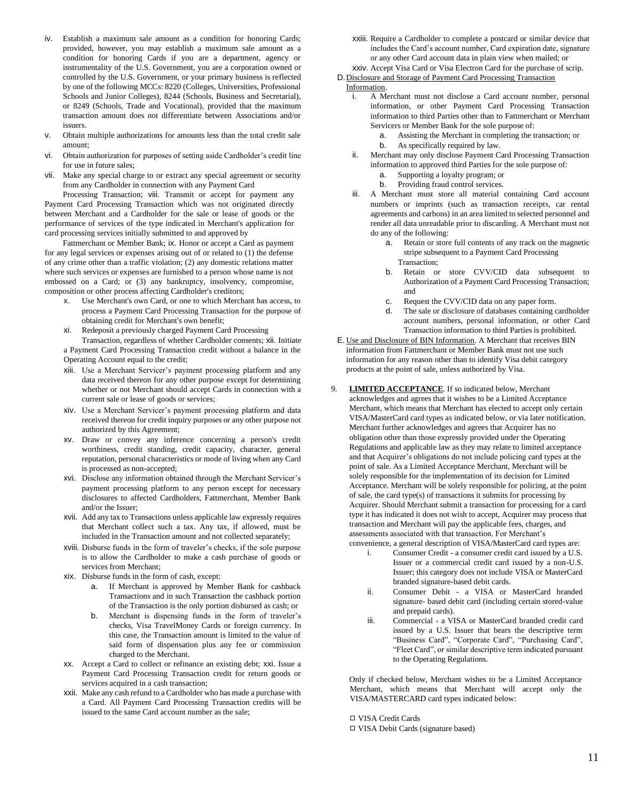- iv. Establish a maximum sale amount as a condition for honoring Cards; provided, however, you may establish a maximum sale amount as a condition for honoring Cards if you are a department, agency or instrumentality of the U.S. Government, you are a corporation owned or controlled by the U.S. Government, or your primary business is reflected by one of the following MCCs: 8220 (Colleges, Universities, Professional Schools and Junior Colleges), 8244 (Schools, Business and Secretarial), or 8249 (Schools, Trade and Vocational), provided that the maximum transaction amount does not differentiate between Associations and/or issuers.
- v. Obtain multiple authorizations for amounts less than the total credit sale amount;
- vi. Obtain authorization for purposes of setting aside Cardholder's credit line for use in future sales;
- vii. Make any special charge to or extract any special agreement or security from any Cardholder in connection with any Payment Card

Processing Transaction; viii. Transmit or accept for payment any Payment Card Processing Transaction which was not originated directly between Merchant and a Cardholder for the sale or lease of goods or the performance of services of the type indicated in Merchant's application for card processing services initially submitted to and approved by

Fattmerchant or Member Bank; ix. Honor or accept a Card as payment for any legal services or expenses arising out of or related to (1) the defense of any crime other than a traffic violation; (2) any domestic relations matter where such services or expenses are furnished to a person whose name is not embossed on a Card; or (3) any bankruptcy, insolvency, compromise, composition or other process affecting Cardholder's creditors;

- x. Use Merchant's own Card, or one to which Merchant has access, to process a Payment Card Processing Transaction for the purpose of obtaining credit for Merchant's own benefit;
- xi. Redeposit a previously charged Payment Card Processing

Transaction, regardless of whether Cardholder consents; xii. Initiate a Payment Card Processing Transaction credit without a balance in the Operating Account equal to the credit;

- xiii. Use a Merchant Servicer's payment processing platform and any data received thereon for any other purpose except for determining whether or not Merchant should accept Cards in connection with a current sale or lease of goods or services;
- xiv. Use a Merchant Servicer's payment processing platform and data received thereon for credit inquiry purposes or any other purpose not authorized by this Agreement;
- xv. Draw or convey any inference concerning a person's credit worthiness, credit standing, credit capacity, character, general reputation, personal characteristics or mode of living when any Card is processed as non-accepted;
- xvi. Disclose any information obtained through the Merchant Servicer's payment processing platform to any person except for necessary disclosures to affected Cardholders, Fattmerchant, Member Bank and/or the Issuer;
- xvii. Add any tax to Transactions unless applicable law expressly requires that Merchant collect such a tax. Any tax, if allowed, must be included in the Transaction amount and not collected separately;
- xviii. Disburse funds in the form of traveler's checks, if the sole purpose is to allow the Cardholder to make a cash purchase of goods or services from Merchant;
- xix. Disburse funds in the form of cash, except:
	- a. If Merchant is approved by Member Bank for cashback Transactions and in such Transaction the cashback portion of the Transaction is the only portion disbursed as cash; or
	- b. Merchant is dispensing funds in the form of traveler's checks, Visa TravelMoney Cards or foreign currency. In this case, the Transaction amount is limited to the value of said form of dispensation plus any fee or commission charged to the Merchant.
- xx. Accept a Card to collect or refinance an existing debt; xxi. Issue a Payment Card Processing Transaction credit for return goods or services acquired in a cash transaction;
- xxii. Make any cash refund to a Cardholder who has made a purchase with a Card. All Payment Card Processing Transaction credits will be issued to the same Card account number as the sale;
- xxiii. Require a Cardholder to complete a postcard or similar device that includes the Card's account number, Card expiration date, signature or any other Card account data in plain view when mailed; or xxiv. Accept Visa Card or Visa Electron Card for the purchase of scrip.
- D. Disclosure and Storage of Payment Card Processing Transaction Information.
	- i. A Merchant must not disclose a Card account number, personal information, or other Payment Card Processing Transaction information to third Parties other than to Fattmerchant or Merchant Servicers or Member Bank for the sole purpose of:
		- a. Assisting the Merchant in completing the transaction; or
		- b. As specifically required by law.
	- ii. Merchant may only disclose Payment Card Processing Transaction information to approved third Parties for the sole purpose of:
		- a. Supporting a loyalty program; or
		- b. Providing fraud control services.
	- iii. A Merchant must store all material containing Card account numbers or imprints (such as transaction receipts, car rental agreements and carbons) in an area limited to selected personnel and render all data unreadable prior to discarding. A Merchant must not do any of the following:
		- a. Retain or store full contents of any track on the magnetic stripe subsequent to a Payment Card Processing Transaction;
		- b. Retain or store CVV/CID data subsequent to Authorization of a Payment Card Processing Transaction; and
		- c. Request the CVV/CID data on any paper form.
		- d. The sale or disclosure of databases containing cardholder account numbers, personal information, or other Card Transaction information to third Parties is prohibited.
- E. Use and Disclosure of BIN Information. A Merchant that receives BIN information from Fattmerchant or Member Bank must not use such information for any reason other than to identify Visa debit category products at the point of sale, unless authorized by Visa.
- 9. **LIMITED ACCEPTANCE**. If so indicated below, Merchant acknowledges and agrees that it wishes to be a Limited Acceptance Merchant, which means that Merchant has elected to accept only certain VISA/MasterCard card types as indicated below, or via later notification. Merchant further acknowledges and agrees that Acquirer has no obligation other than those expressly provided under the Operating Regulations and applicable law as they may relate to limited acceptance and that Acquirer's obligations do not include policing card types at the point of sale. As a Limited Acceptance Merchant, Merchant will be solely responsible for the implementation of its decision for Limited Acceptance. Merchant will be solely responsible for policing, at the point of sale, the card type(s) of transactions it submits for processing by Acquirer. Should Merchant submit a transaction for processing for a card type it has indicated it does not wish to accept, Acquirer may process that transaction and Merchant will pay the applicable fees, charges, and assessments associated with that transaction. For Merchant's
	- convenience, a general description of VISA/MasterCard card types are:
		- i. Consumer Credit a consumer credit card issued by a U.S. Issuer or a commercial credit card issued by a non-U.S. Issuer; this category does not include VISA or MasterCard branded signature-based debit cards.
		- ii. Consumer Debit a VISA or MasterCard branded signature- based debit card (including certain stored-value and prepaid cards).
		- iii. Commercial a VISA or MasterCard branded credit card issued by a U.S. Issuer that bears the descriptive term "Business Card", "Corporate Card", "Purchasing Card", "Fleet Card", or similar descriptive term indicated pursuant to the Operating Regulations.

Only if checked below, Merchant wishes to be a Limited Acceptance Merchant, which means that Merchant will accept only the VISA/MASTERCARD card types indicated below:

◻ VISA Credit Cards

◻ VISA Debit Cards (signature based)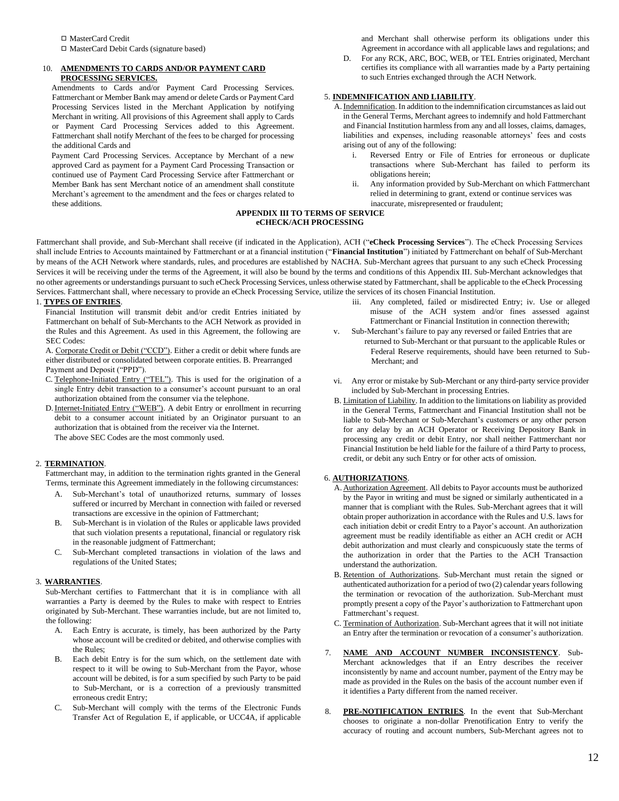#### 10. **AMENDMENTS TO CARDS AND/OR PAYMENT CARD PROCESSING SERVICES.**

Amendments to Cards and/or Payment Card Processing Services. Fattmerchant or Member Bank may amend or delete Cards or Payment Card Processing Services listed in the Merchant Application by notifying Merchant in writing. All provisions of this Agreement shall apply to Cards or Payment Card Processing Services added to this Agreement. Fattmerchant shall notify Merchant of the fees to be charged for processing the additional Cards and

Payment Card Processing Services. Acceptance by Merchant of a new approved Card as payment for a Payment Card Processing Transaction or continued use of Payment Card Processing Service after Fattmerchant or Member Bank has sent Merchant notice of an amendment shall constitute Merchant's agreement to the amendment and the fees or charges related to these additions.

and Merchant shall otherwise perform its obligations under this Agreement in accordance with all applicable laws and regulations; and

D. For any RCK, ARC, BOC, WEB, or TEL Entries originated, Merchant certifies its compliance with all warranties made by a Party pertaining to such Entries exchanged through the ACH Network.

## 5. **INDEMNIFICATION AND LIABILITY**.

- A.Indemnification. In addition to the indemnification circumstances as laid out in the General Terms, Merchant agrees to indemnify and hold Fattmerchant and Financial Institution harmless from any and all losses, claims, damages, liabilities and expenses, including reasonable attorneys' fees and costs arising out of any of the following:
	- i. Reversed Entry or File of Entries for erroneous or duplicate transactions where Sub-Merchant has failed to perform its obligations herein;
	- ii. Any information provided by Sub-Merchant on which Fattmerchant relied in determining to grant, extend or continue services was inaccurate, misrepresented or fraudulent;

#### **APPENDIX III TO TERMS OF SERVICE eCHECK/ACH PROCESSING**

Fattmerchant shall provide, and Sub-Merchant shall receive (if indicated in the Application), ACH ("**eCheck Processing Services**"). The eCheck Processing Services shall include Entries to Accounts maintained by Fattmerchant or at a financial institution ("**Financial Institution**") initiated by Fattmerchant on behalf of Sub-Merchant by means of the ACH Network where standards, rules, and procedures are established by NACHA. Sub-Merchant agrees that pursuant to any such eCheck Processing Services it will be receiving under the terms of the Agreement, it will also be bound by the terms and conditions of this Appendix III. Sub-Merchant acknowledges that no other agreements or understandings pursuant to such eCheck Processing Services, unless otherwise stated by Fattmerchant, shall be applicable to the eCheck Processing Services. Fattmerchant shall, where necessary to provide an eCheck Processing Service, utilize the services of its chosen Financial Institution.

## 1. **TYPES OF ENTRIES**.

Financial Institution will transmit debit and/or credit Entries initiated by Fattmerchant on behalf of Sub-Merchants to the ACH Network as provided in the Rules and this Agreement. As used in this Agreement, the following are SEC Codes:

A. Corporate Credit or Debit ("CCD"). Either a credit or debit where funds are either distributed or consolidated between corporate entities. B. Prearranged Payment and Deposit ("PPD").

- C. Telephone-Initiated Entry ("TEL"). This is used for the origination of a single Entry debit transaction to a consumer's account pursuant to an oral authorization obtained from the consumer via the telephone.
- D. Internet-Initiated Entry ("WEB"). A debit Entry or enrollment in recurring debit to a consumer account initiated by an Originator pursuant to an authorization that is obtained from the receiver via the Internet. The above SEC Codes are the most commonly used.

## 2. **TERMINATION**.

Fattmerchant may, in addition to the termination rights granted in the General Terms, terminate this Agreement immediately in the following circumstances:

- A. Sub-Merchant's total of unauthorized returns, summary of losses suffered or incurred by Merchant in connection with failed or reversed transactions are excessive in the opinion of Fattmerchant;
- B. Sub-Merchant is in violation of the Rules or applicable laws provided that such violation presents a reputational, financial or regulatory risk in the reasonable judgment of Fattmerchant;
- C. Sub-Merchant completed transactions in violation of the laws and regulations of the United States;

## 3. **WARRANTIES**.

Sub-Merchant certifies to Fattmerchant that it is in compliance with all warranties a Party is deemed by the Rules to make with respect to Entries originated by Sub-Merchant. These warranties include, but are not limited to, the following:

- A. Each Entry is accurate, is timely, has been authorized by the Party whose account will be credited or debited, and otherwise complies with the Rules;
- B. Each debit Entry is for the sum which, on the settlement date with respect to it will be owing to Sub-Merchant from the Payor, whose account will be debited, is for a sum specified by such Party to be paid to Sub-Merchant, or is a correction of a previously transmitted erroneous credit Entry;
- C. Sub-Merchant will comply with the terms of the Electronic Funds Transfer Act of Regulation E, if applicable, or UCC4A, if applicable
- iii. Any completed, failed or misdirected Entry; iv. Use or alleged misuse of the ACH system and/or fines assessed against Fattmerchant or Financial Institution in connection therewith;
- v. Sub-Merchant's failure to pay any reversed or failed Entries that are returned to Sub-Merchant or that pursuant to the applicable Rules or Federal Reserve requirements, should have been returned to Sub-Merchant; and
- vi. Any error or mistake by Sub-Merchant or any third-party service provider included by Sub-Merchant in processing Entries.
- B. Limitation of Liability. In addition to the limitations on liability as provided in the General Terms, Fattmerchant and Financial Institution shall not be liable to Sub-Merchant or Sub-Merchant's customers or any other person for any delay by an ACH Operator or Receiving Depository Bank in processing any credit or debit Entry, nor shall neither Fattmerchant nor Financial Institution be held liable for the failure of a third Party to process, credit, or debit any such Entry or for other acts of omission.

## 6. **AUTHORIZATIONS**.

- A. Authorization Agreement. All debits to Payor accounts must be authorized by the Payor in writing and must be signed or similarly authenticated in a manner that is compliant with the Rules. Sub-Merchant agrees that it will obtain proper authorization in accordance with the Rules and U.S. laws for each initiation debit or credit Entry to a Payor's account. An authorization agreement must be readily identifiable as either an ACH credit or ACH debit authorization and must clearly and conspicuously state the terms of the authorization in order that the Parties to the ACH Transaction understand the authorization.
- B. Retention of Authorizations. Sub-Merchant must retain the signed or authenticated authorization for a period of two (2) calendar years following the termination or revocation of the authorization. Sub-Merchant must promptly present a copy of the Payor's authorization to Fattmerchant upon Fattmerchant's request.
- C. Termination of Authorization. Sub-Merchant agrees that it will not initiate an Entry after the termination or revocation of a consumer's authorization.
- 7. **NAME AND ACCOUNT NUMBER INCONSISTENCY**. Sub-Merchant acknowledges that if an Entry describes the receiver inconsistently by name and account number, payment of the Entry may be made as provided in the Rules on the basis of the account number even if it identifies a Party different from the named receiver.
- 8. **PRE-NOTIFICATION ENTRIES**. In the event that Sub-Merchant chooses to originate a non-dollar Prenotification Entry to verify the accuracy of routing and account numbers, Sub-Merchant agrees not to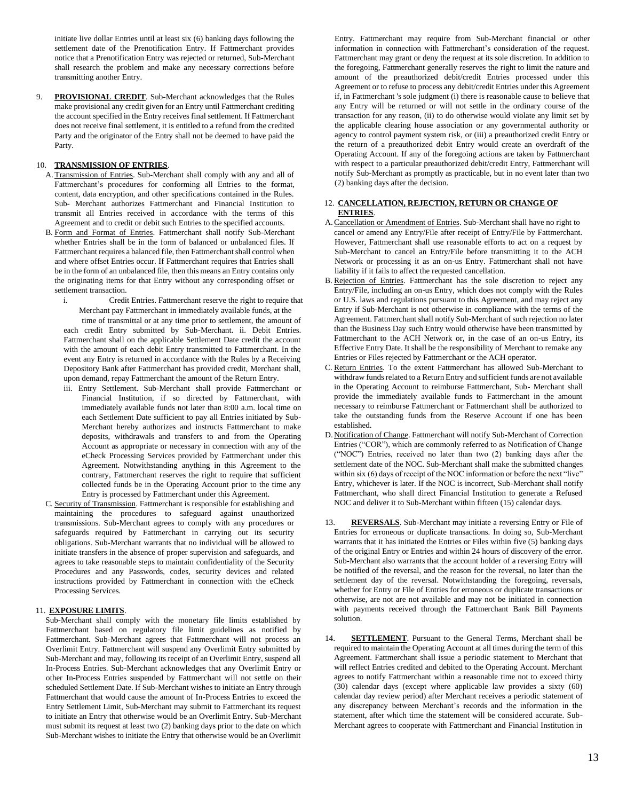initiate live dollar Entries until at least six (6) banking days following the settlement date of the Prenotification Entry. If Fattmerchant provides notice that a Prenotification Entry was rejected or returned, Sub-Merchant shall research the problem and make any necessary corrections before transmitting another Entry.

9. **PROVISIONAL CREDIT**. Sub-Merchant acknowledges that the Rules make provisional any credit given for an Entry until Fattmerchant crediting the account specified in the Entry receives final settlement. If Fattmerchant does not receive final settlement, it is entitled to a refund from the credited Party and the originator of the Entry shall not be deemed to have paid the Party.

#### 10. **TRANSMISSION OF ENTRIES**.

- A. Transmission of Entries. Sub-Merchant shall comply with any and all of Fattmerchant's procedures for conforming all Entries to the format, content, data encryption, and other specifications contained in the Rules. Sub- Merchant authorizes Fattmerchant and Financial Institution to transmit all Entries received in accordance with the terms of this Agreement and to credit or debit such Entries to the specified accounts.
- B. Form and Format of Entries. Fattmerchant shall notify Sub-Merchant whether Entries shall be in the form of balanced or unbalanced files. If Fattmerchant requires a balanced file, then Fattmerchant shall control when and where offset Entries occur. If Fattmerchant requires that Entries shall be in the form of an unbalanced file, then this means an Entry contains only the originating items for that Entry without any corresponding offset or settlement transaction.
	- i. Credit Entries. Fattmerchant reserve the right to require that Merchant pay Fattmerchant in immediately available funds, at the

time of transmittal or at any time prior to settlement, the amount of each credit Entry submitted by Sub-Merchant. ii. Debit Entries. Fattmerchant shall on the applicable Settlement Date credit the account with the amount of each debit Entry transmitted to Fattmerchant. In the event any Entry is returned in accordance with the Rules by a Receiving Depository Bank after Fattmerchant has provided credit, Merchant shall, upon demand, repay Fattmerchant the amount of the Return Entry.

- iii. Entry Settlement. Sub-Merchant shall provide Fattmerchant or Financial Institution, if so directed by Fattmerchant, with immediately available funds not later than 8:00 a.m. local time on each Settlement Date sufficient to pay all Entries initiated by Sub-Merchant hereby authorizes and instructs Fattmerchant to make deposits, withdrawals and transfers to and from the Operating Account as appropriate or necessary in connection with any of the eCheck Processing Services provided by Fattmerchant under this Agreement. Notwithstanding anything in this Agreement to the contrary, Fattmerchant reserves the right to require that sufficient collected funds be in the Operating Account prior to the time any Entry is processed by Fattmerchant under this Agreement.
- C. Security of Transmission. Fattmerchant is responsible for establishing and maintaining the procedures to safeguard against unauthorized transmissions. Sub-Merchant agrees to comply with any procedures or safeguards required by Fattmerchant in carrying out its security obligations. Sub-Merchant warrants that no individual will be allowed to initiate transfers in the absence of proper supervision and safeguards, and agrees to take reasonable steps to maintain confidentiality of the Security Procedures and any Passwords, codes, security devices and related instructions provided by Fattmerchant in connection with the eCheck Processing Services.

#### 11. **EXPOSURE LIMITS**.

Sub-Merchant shall comply with the monetary file limits established by Fattmerchant based on regulatory file limit guidelines as notified by Fattmerchant. Sub-Merchant agrees that Fattmerchant will not process an Overlimit Entry. Fattmerchant will suspend any Overlimit Entry submitted by Sub-Merchant and may, following its receipt of an Overlimit Entry, suspend all In-Process Entries. Sub-Merchant acknowledges that any Overlimit Entry or other In-Process Entries suspended by Fattmerchant will not settle on their scheduled Settlement Date. If Sub-Merchant wishes to initiate an Entry through Fattmerchant that would cause the amount of In-Process Entries to exceed the Entry Settlement Limit, Sub-Merchant may submit to Fattmerchant its request to initiate an Entry that otherwise would be an Overlimit Entry. Sub-Merchant must submit its request at least two (2) banking days prior to the date on which Sub-Merchant wishes to initiate the Entry that otherwise would be an Overlimit

Entry. Fattmerchant may require from Sub-Merchant financial or other information in connection with Fattmerchant's consideration of the request. Fattmerchant may grant or deny the request at its sole discretion. In addition to the foregoing, Fattmerchant generally reserves the right to limit the nature and amount of the preauthorized debit/credit Entries processed under this Agreement or to refuse to process any debit/credit Entries under this Agreement if, in Fattmerchant 's sole judgment (i) there is reasonable cause to believe that any Entry will be returned or will not settle in the ordinary course of the transaction for any reason, (ii) to do otherwise would violate any limit set by the applicable clearing house association or any governmental authority or agency to control payment system risk, or (iii) a preauthorized credit Entry or the return of a preauthorized debit Entry would create an overdraft of the Operating Account. If any of the foregoing actions are taken by Fattmerchant with respect to a particular preauthorized debit/credit Entry, Fattmerchant will notify Sub-Merchant as promptly as practicable, but in no event later than two (2) banking days after the decision.

#### 12. **CANCELLATION, REJECTION, RETURN OR CHANGE OF ENTRIES**.

- A.Cancellation or Amendment of Entries. Sub-Merchant shall have no right to cancel or amend any Entry/File after receipt of Entry/File by Fattmerchant. However, Fattmerchant shall use reasonable efforts to act on a request by Sub-Merchant to cancel an Entry/File before transmitting it to the ACH Network or processing it as an on-us Entry. Fattmerchant shall not have liability if it fails to affect the requested cancellation.
- B. Rejection of Entries. Fattmerchant has the sole discretion to reject any Entry/File, including an on-us Entry, which does not comply with the Rules or U.S. laws and regulations pursuant to this Agreement, and may reject any Entry if Sub-Merchant is not otherwise in compliance with the terms of the Agreement. Fattmerchant shall notify Sub-Merchant of such rejection no later than the Business Day such Entry would otherwise have been transmitted by Fattmerchant to the ACH Network or, in the case of an on-us Entry, its Effective Entry Date. It shall be the responsibility of Merchant to remake any Entries or Files rejected by Fattmerchant or the ACH operator.
- C. Return Entries. To the extent Fattmerchant has allowed Sub-Merchant to withdraw funds related to a Return Entry and sufficient funds are not available in the Operating Account to reimburse Fattmerchant, Sub- Merchant shall provide the immediately available funds to Fattmerchant in the amount necessary to reimburse Fattmerchant or Fattmerchant shall be authorized to take the outstanding funds from the Reserve Account if one has been established.
- D. Notification of Change. Fattmerchant will notify Sub-Merchant of Correction Entries ("COR"), which are commonly referred to as Notification of Change ("NOC") Entries, received no later than two (2) banking days after the settlement date of the NOC. Sub-Merchant shall make the submitted changes within six (6) days of receipt of the NOC information or before the next "live" Entry, whichever is later. If the NOC is incorrect, Sub-Merchant shall notify Fattmerchant, who shall direct Financial Institution to generate a Refused NOC and deliver it to Sub-Merchant within fifteen (15) calendar days.
- 13. REVERSALS. Sub-Merchant may initiate a reversing Entry or File of Entries for erroneous or duplicate transactions. In doing so, Sub-Merchant warrants that it has initiated the Entries or Files within five (5) banking days of the original Entry or Entries and within 24 hours of discovery of the error. Sub-Merchant also warrants that the account holder of a reversing Entry will be notified of the reversal, and the reason for the reversal, no later than the settlement day of the reversal. Notwithstanding the foregoing, reversals, whether for Entry or File of Entries for erroneous or duplicate transactions or otherwise, are not are not available and may not be initiated in connection with payments received through the Fattmerchant Bank Bill Payments solution.
- 14. **SETTLEMENT**. Pursuant to the General Terms, Merchant shall be required to maintain the Operating Account at all times during the term of this Agreement. Fattmerchant shall issue a periodic statement to Merchant that will reflect Entries credited and debited to the Operating Account. Merchant agrees to notify Fattmerchant within a reasonable time not to exceed thirty (30) calendar days (except where applicable law provides a sixty (60) calendar day review period) after Merchant receives a periodic statement of any discrepancy between Merchant's records and the information in the statement, after which time the statement will be considered accurate. Sub-Merchant agrees to cooperate with Fattmerchant and Financial Institution in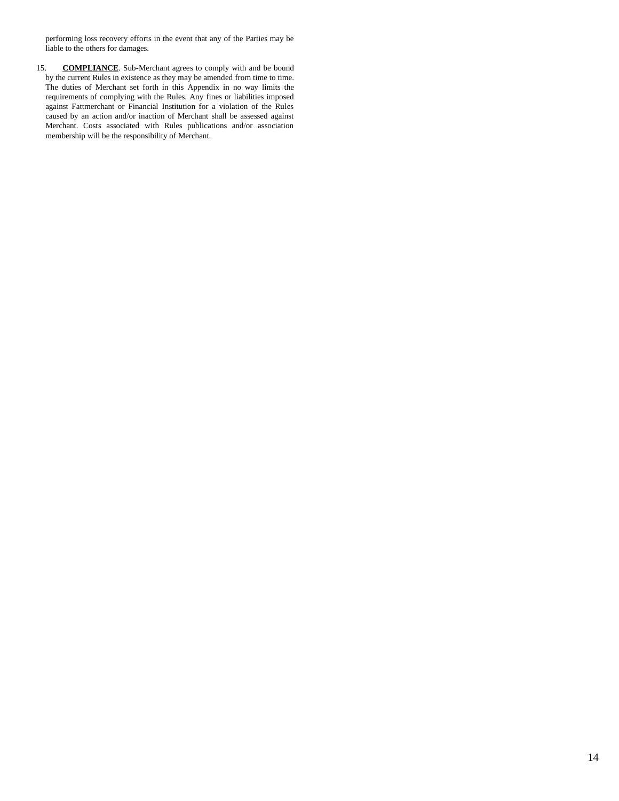performing loss recovery efforts in the event that any of the Parties may be liable to the others for damages.

15. **COMPLIANCE**. Sub-Merchant agrees to comply with and be bound by the current Rules in existence as they may be amended from time to time. The duties of Merchant set forth in this Appendix in no way limits the requirements of complying with the Rules. Any fines or liabilities imposed against Fattmerchant or Financial Institution for a violation of the Rules caused by an action and/or inaction of Merchant shall be assessed against Merchant. Costs associated with Rules publications and/or association membership will be the responsibility of Merchant.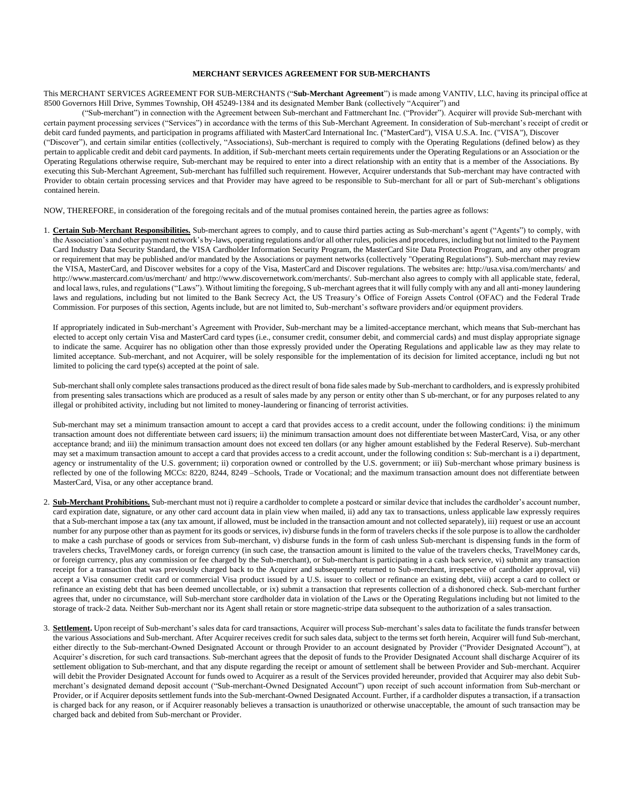## **MERCHANT SERVICES AGREEMENT FOR SUB-MERCHANTS**

This MERCHANT SERVICES AGREEMENT FOR SUB-MERCHANTS ("**Sub-Merchant Agreement**") is made among VANTIV, LLC, having its principal office at 8500 Governors Hill Drive, Symmes Township, OH 45249-1384 and its designated Member Bank (collectively "Acquirer") and

("Sub-merchant") in connection with the Agreement between Sub-merchant and Fattmerchant Inc. ("Provider"). Acquirer will provide Sub-merchant with certain payment processing services ("Services") in accordance with the terms of this Sub-Merchant Agreement. In consideration of Sub-merchant's receipt of credit or debit card funded payments, and participation in programs affiliated with MasterCard International Inc. ("MasterCard"), VISA U.S.A. Inc. ("VISA"), Discover ("Discover"), and certain similar entities (collectively, "Associations), Sub-merchant is required to comply with the Operating Regulations (defined below) as they pertain to applicable credit and debit card payments. In addition, if Sub-merchant meets certain requirements under the Operating Regulations or an Association or the Operating Regulations otherwise require, Sub-merchant may be required to enter into a direct relationship with an entity that is a member of the Associations. By executing this Sub-Merchant Agreement, Sub-merchant has fulfilled such requirement. However, Acquirer understands that Sub-merchant may have contracted with Provider to obtain certain processing services and that Provider may have agreed to be responsible to Sub-merchant for all or part of Sub-merchant's obligations contained herein.

NOW, THEREFORE, in consideration of the foregoing recitals and of the mutual promises contained herein, the parties agree as follows:

1. **Certain Sub-Merchant Responsibilities.** Sub-merchant agrees to comply, and to cause third parties acting as Sub-merchant's agent ("Agents") to comply, with the Association's and other payment network's by-laws, operating regulations and/or all other rules, policies and procedures, including but not limited to the Payment Card Industry Data Security Standard, the VISA Cardholder Information Security Program, the MasterCard Site Data Protection Program, and any other program or requirement that may be published and/or mandated by the Associations or payment networks (collectively "Operating Regulations"). Sub-merchant may review the VISA, MasterCard, and Discover websites for a copy of the Visa, MasterCard and Discover regulations. The websites are: <http://usa.visa.com/merchants/> [a](http://usa.visa.com/merchants/)nd <http://www.mastercard.com/us/merchant/> [a](http://www.mastercard.com/us/merchant/)[nd http://www.discovernetwork.com/merchants/.](http://www.discovernetwork.com/merchants/) [Su](http://www.discovernetwork.com/merchants/)b-merchant also agrees to comply with all applicable state, federal, and local laws, rules, and regulations ("Laws"). Without limiting the foregoing, S ub-merchant agrees that it will fully comply with any and all anti-money laundering laws and regulations, including but not limited to the Bank Secrecy Act, the US Treasury's Office of Foreign Assets Control (OFAC) and the Federal Trade Commission. For purposes of this section, Agents include, but are not limited to, Sub-merchant's software providers and/or equipment providers.

If appropriately indicated in Sub-merchant's Agreement with Provider, Sub-merchant may be a limited-acceptance merchant, which means that Sub-merchant has elected to accept only certain Visa and MasterCard card types (i.e., consumer credit, consumer debit, and commercial cards) and must display appropriate signage to indicate the same. Acquirer has no obligation other than those expressly provided under the Operating Regulations and applicable law as they may relate to limited acceptance. Sub-merchant, and not Acquirer, will be solely responsible for the implementation of its decision for limited acceptance, includi ng but not limited to policing the card type(s) accepted at the point of sale.

Sub-merchant shall only complete sales transactions produced as the direct result of bona fide sales made by Sub-merchant to cardholders, and is expressly prohibited from presenting sales transactions which are produced as a result of sales made by any person or entity other than S ub-merchant, or for any purposes related to any illegal or prohibited activity, including but not limited to money-laundering or financing of terrorist activities.

Sub-merchant may set a minimum transaction amount to accept a card that provides access to a credit account, under the following conditions: i) the minimum transaction amount does not differentiate between card issuers; ii) the minimum transaction amount does not differentiate between MasterCard, Visa, or any other acceptance brand; and iii) the minimum transaction amount does not exceed ten dollars (or any higher amount established by the Federal Reserve). Sub-merchant may set a maximum transaction amount to accept a card that provides access to a credit account, under the following condition s: Sub-merchant is a i) department, agency or instrumentality of the U.S. government; ii) corporation owned or controlled by the U.S. government; or iii) Sub-merchant whose primary business is reflected by one of the following MCCs: 8220, 8244, 8249 –Schools, Trade or Vocational; and the maximum transaction amount does not differentiate between MasterCard, Visa, or any other acceptance brand.

- 2. **Sub-Merchant Prohibitions.** Sub-merchant must not i) require a cardholder to complete a postcard or similar device that includes the cardholder's account number, card expiration date, signature, or any other card account data in plain view when mailed, ii) add any tax to transactions, unless applicable law expressly requires that a Sub-merchant impose a tax (any tax amount, if allowed, must be included in the transaction amount and not collected separately), iii) request or use an account number for any purpose other than as payment for its goods or services, iv) disburse funds in the form of travelers checks if the sole purpose is to allow the cardholder to make a cash purchase of goods or services from Sub-merchant, v) disburse funds in the form of cash unless Sub-merchant is dispensing funds in the form of travelers checks, TravelMoney cards, or foreign currency (in such case, the transaction amount is limited to the value of the travelers checks, TravelMoney cards, or foreign currency, plus any commission or fee charged by the Sub-merchant), or Sub-merchant is participating in a cash back service, vi) submit any transaction receipt for a transaction that was previously charged back to the Acquirer and subsequently returned to Sub-merchant, irrespective of cardholder approval, vii) accept a Visa consumer credit card or commercial Visa product issued by a U.S. issuer to collect or refinance an existing debt, viii) accept a card to collect or refinance an existing debt that has been deemed uncollectable, or ix) submit a transaction that represents collection of a dishonored check. Sub-merchant further agrees that, under no circumstance, will Sub-merchant store cardholder data in violation of the Laws or the Operating Regulations including but not limited to the storage of track-2 data. Neither Sub-merchant nor its Agent shall retain or store magnetic-stripe data subsequent to the authorization of a sales transaction.
- 3. **Settlement.** Upon receipt of Sub-merchant's sales data for card transactions, Acquirer will process Sub-merchant's sales data to facilitate the funds transfer between the various Associations and Sub-merchant. After Acquirer receives credit for such sales data, subject to the terms set forth herein, Acquirer will fund Sub-merchant, either directly to the Sub-merchant-Owned Designated Account or through Provider to an account designated by Provider ("Provider Designated Account"), at Acquirer's discretion, for such card transactions. Sub-merchant agrees that the deposit of funds to the Provider Designated Account shall discharge Acquirer of its settlement obligation to Sub-merchant, and that any dispute regarding the receipt or amount of settlement shall be between Provider and Sub-merchant. Acquirer will debit the Provider Designated Account for funds owed to Acquirer as a result of the Services provided hereunder, provided that Acquirer may also debit Submerchant's designated demand deposit account ("Sub-merchant-Owned Designated Account") upon receipt of such account information from Sub-merchant or Provider, or if Acquirer deposits settlement funds into the Sub-merchant-Owned Designated Account. Further, if a cardholder disputes a transaction, if a transaction is charged back for any reason, or if Acquirer reasonably believes a transaction is unauthorized or otherwise unacceptable, the amount of such transaction may be charged back and debited from Sub-merchant or Provider.